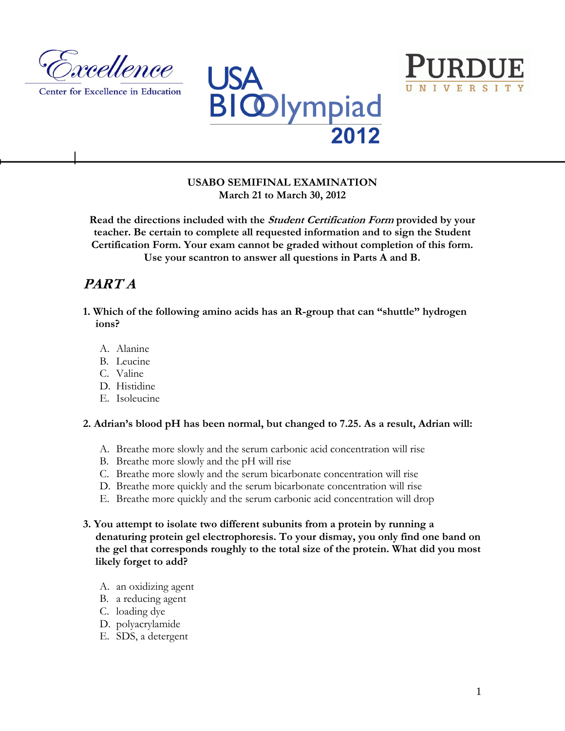

Center for Excellence in Education





# **USABO SEMIFINAL EXAMINATION March 21 to March 30, 2012**

**Read the directions included with the Student Certification Form provided by your teacher. Be certain to complete all requested information and to sign the Student Certification Form. Your exam cannot be graded without completion of this form. Use your scantron to answer all questions in Parts A and B.**

# **PART A**

- **1. Which of the following amino acids has an R-group that can "shuttle" hydrogen ions?**
	- A. Alanine
	- B. Leucine
	- C. Valine
	- D. Histidine
	- E. Isoleucine

**2. Adrian's blood pH has been normal, but changed to 7.25. As a result, Adrian will:** 

- A. Breathe more slowly and the serum carbonic acid concentration will rise
- B. Breathe more slowly and the pH will rise
- C. Breathe more slowly and the serum bicarbonate concentration will rise
- D. Breathe more quickly and the serum bicarbonate concentration will rise
- E. Breathe more quickly and the serum carbonic acid concentration will drop

# **3. You attempt to isolate two different subunits from a protein by running a denaturing protein gel electrophoresis. To your dismay, you only find one band on the gel that corresponds roughly to the total size of the protein. What did you most likely forget to add?**

- A. an oxidizing agent
- B. a reducing agent
- C. loading dye
- D. polyacrylamide
- E. SDS, a detergent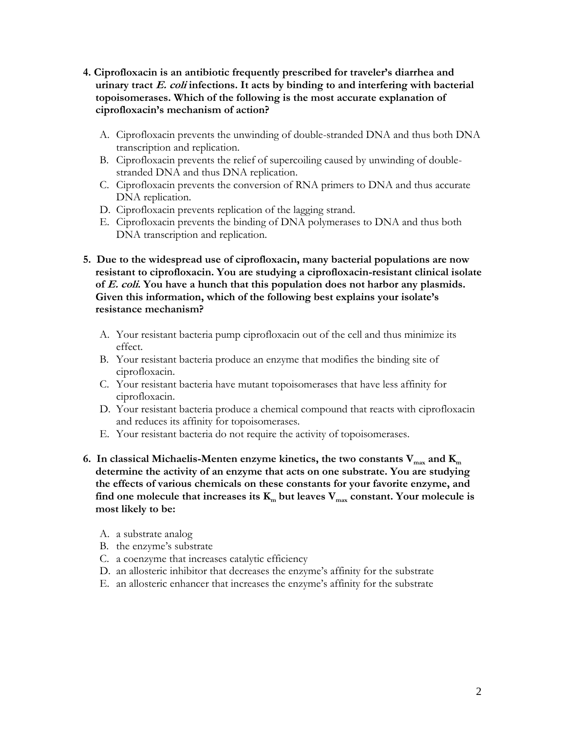- **4. Ciprofloxacin is an antibiotic frequently prescribed for traveler's diarrhea and urinary tract E. coli infections. It acts by binding to and interfering with bacterial topoisomerases. Which of the following is the most accurate explanation of ciprofloxacin's mechanism of action?**
	- A. Ciprofloxacin prevents the unwinding of double-stranded DNA and thus both DNA transcription and replication.
	- B. Ciprofloxacin prevents the relief of supercoiling caused by unwinding of doublestranded DNA and thus DNA replication.
	- C. Ciprofloxacin prevents the conversion of RNA primers to DNA and thus accurate DNA replication.
	- D. Ciprofloxacin prevents replication of the lagging strand.
	- E. Ciprofloxacin prevents the binding of DNA polymerases to DNA and thus both DNA transcription and replication.
- **5. Due to the widespread use of ciprofloxacin, many bacterial populations are now resistant to ciprofloxacin. You are studying a ciprofloxacin-resistant clinical isolate of E. coli. You have a hunch that this population does not harbor any plasmids. Given this information, which of the following best explains your isolate's resistance mechanism?**
	- A. Your resistant bacteria pump ciprofloxacin out of the cell and thus minimize its effect.
	- B. Your resistant bacteria produce an enzyme that modifies the binding site of ciprofloxacin.
	- C. Your resistant bacteria have mutant topoisomerases that have less affinity for ciprofloxacin.
	- D. Your resistant bacteria produce a chemical compound that reacts with ciprofloxacin and reduces its affinity for topoisomerases.
	- E. Your resistant bacteria do not require the activity of topoisomerases.
- **6.** In classical Michaelis-Menten enzyme kinetics, the two constants  $V_{max}$  and  $K_{max}$ **determine the activity of an enzyme that acts on one substrate. You are studying the effects of various chemicals on these constants for your favorite enzyme, and find one molecule that increases its K<sup>m</sup> but leaves Vmax constant. Your molecule is most likely to be:**
	- A. a substrate analog
	- B. the enzyme's substrate
	- C. a coenzyme that increases catalytic efficiency
	- D. an allosteric inhibitor that decreases the enzyme's affinity for the substrate
	- E. an allosteric enhancer that increases the enzyme's affinity for the substrate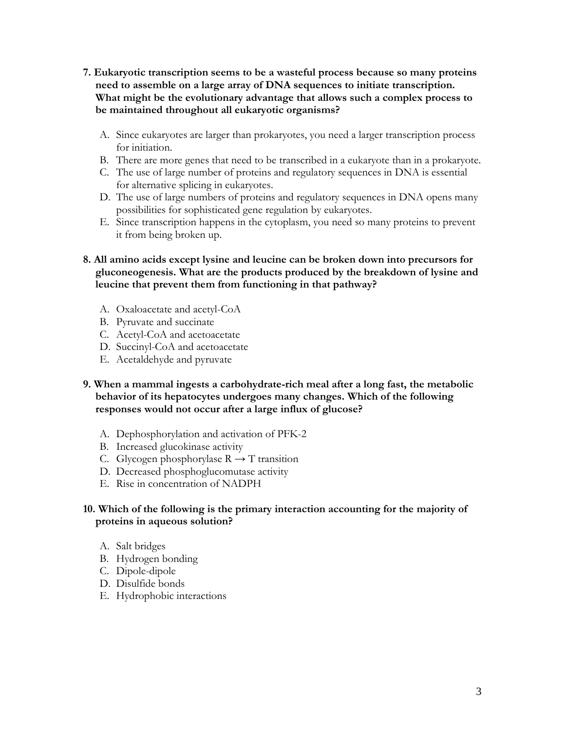- **7. Eukaryotic transcription seems to be a wasteful process because so many proteins need to assemble on a large array of DNA sequences to initiate transcription. What might be the evolutionary advantage that allows such a complex process to be maintained throughout all eukaryotic organisms?**
	- A. Since eukaryotes are larger than prokaryotes, you need a larger transcription process for initiation.
	- B. There are more genes that need to be transcribed in a eukaryote than in a prokaryote.
	- C. The use of large number of proteins and regulatory sequences in DNA is essential for alternative splicing in eukaryotes.
	- D. The use of large numbers of proteins and regulatory sequences in DNA opens many possibilities for sophisticated gene regulation by eukaryotes.
	- E. Since transcription happens in the cytoplasm, you need so many proteins to prevent it from being broken up.
- **8. All amino acids except lysine and leucine can be broken down into precursors for gluconeogenesis. What are the products produced by the breakdown of lysine and leucine that prevent them from functioning in that pathway?**
	- A. Oxaloacetate and acetyl-CoA
	- B. Pyruvate and succinate
	- C. Acetyl-CoA and acetoacetate
	- D. Succinyl-CoA and acetoacetate
	- E. Acetaldehyde and pyruvate
- **9. When a mammal ingests a carbohydrate-rich meal after a long fast, the metabolic behavior of its hepatocytes undergoes many changes. Which of the following responses would not occur after a large influx of glucose?**
	- A. Dephosphorylation and activation of PFK-2
	- B. Increased glucokinase activity
	- C. Glycogen phosphorylase  $R \rightarrow T$  transition
	- D. Decreased phosphoglucomutase activity
	- E. Rise in concentration of NADPH

# **10. Which of the following is the primary interaction accounting for the majority of proteins in aqueous solution?**

- A. Salt bridges
- B. Hydrogen bonding
- C. Dipole-dipole
- D. Disulfide bonds
- E. Hydrophobic interactions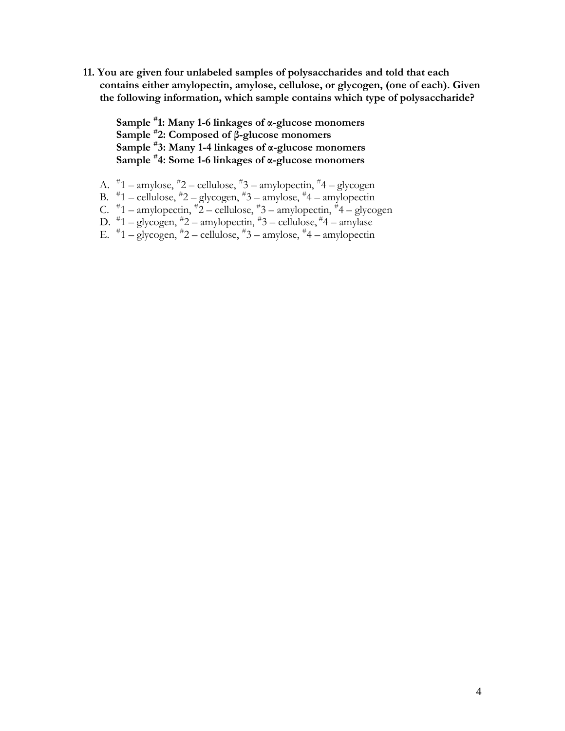**11. You are given four unlabeled samples of polysaccharides and told that each contains either amylopectin, amylose, cellulose, or glycogen, (one of each). Given the following information, which sample contains which type of polysaccharide?**

**Sample # 1: Many 1-6 linkages of α-glucose monomers Sample # 2: Composed of β-glucose monomers Sample # 3: Many 1-4 linkages of α-glucose monomers Sample # 4: Some 1-6 linkages of α-glucose monomers**

- A. # 1 amylose, # 2 cellulose, # 3 amylopectin, # 4 glycogen
- B. # 1 cellulose, # 2 glycogen, # 3 amylose, # 4 amylopectin
- C.  $\overline{t}$ 1 amylopectin,  $\overline{t}$ 2 cellulose,  $\overline{t}$ 3 amylopectin,  $\overline{t}$ 4 glycogen
- D. # 1 glycogen, # 2 amylopectin, # 3 cellulose, # 4 amylase
- E.  $\overline{a}^{\#}1$  glycogen,  $\overline{a}^{\#}2$  cellulose,  $\overline{a}^{\#}3$  amylose,  $\overline{a}^{\#}4$  amylopectin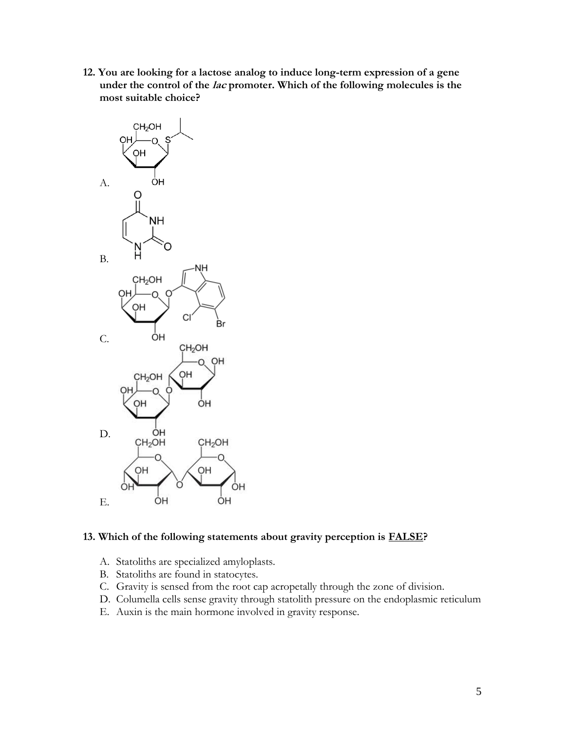**12. You are looking for a lactose analog to induce long-term expression of a gene under the control of the lac promoter. Which of the following molecules is the most suitable choice?**



#### **13. Which of the following statements about gravity perception is FALSE?**

- A. Statoliths are specialized amyloplasts.
- B. Statoliths are found in statocytes.
- C. Gravity is sensed from the root cap acropetally through the zone of division.
- D. Columella cells sense gravity through statolith pressure on the endoplasmic reticulum
- E. Auxin is the main hormone involved in gravity response.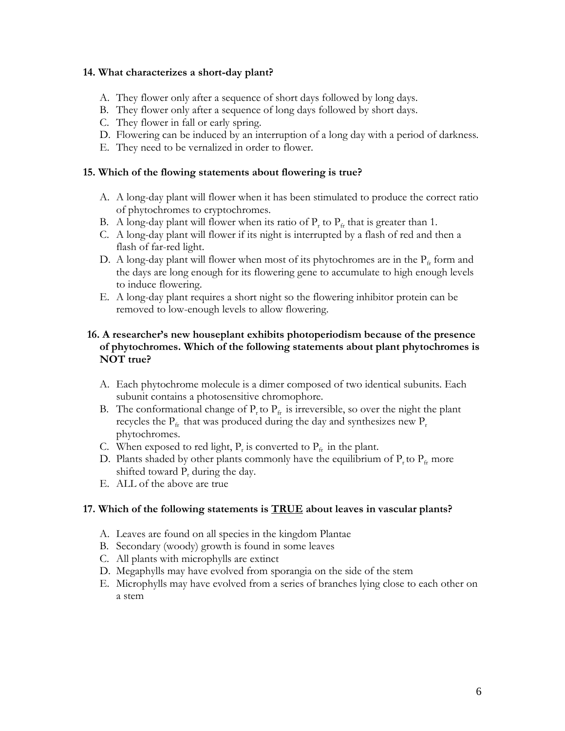# **14. What characterizes a short-day plant?**

- A. They flower only after a sequence of short days followed by long days.
- B. They flower only after a sequence of long days followed by short days.
- C. They flower in fall or early spring.
- D. Flowering can be induced by an interruption of a long day with a period of darkness.
- E. They need to be vernalized in order to flower.

# **15. Which of the flowing statements about flowering is true?**

- A. A long-day plant will flower when it has been stimulated to produce the correct ratio of phytochromes to cryptochromes.
- B. A long-day plant will flower when its ratio of  $P_r$  to  $P_{fr}$  that is greater than 1.
- C. A long-day plant will flower if its night is interrupted by a flash of red and then a flash of far-red light.
- D. A long-day plant will flower when most of its phytochromes are in the  $P_f$  form and the days are long enough for its flowering gene to accumulate to high enough levels to induce flowering.
- E. A long-day plant requires a short night so the flowering inhibitor protein can be removed to low-enough levels to allow flowering.

# **16. A researcher's new houseplant exhibits photoperiodism because of the presence of phytochromes. Which of the following statements about plant phytochromes is NOT true?**

- A. Each phytochrome molecule is a dimer composed of two identical subunits. Each subunit contains a photosensitive chromophore.
- B. The conformational change of  $P_t$  to  $P_f$  is irreversible, so over the night the plant recycles the  $P_{\text{fr}}$  that was produced during the day and synthesizes new  $P_{\text{r}}$ phytochromes.
- C. When exposed to red light,  $P_r$  is converted to  $P_{fr}$  in the plant.
- D. Plants shaded by other plants commonly have the equilibrium of  $P_{r}$  to  $P_{fr}$  more shifted toward  $P_r$ , during the day.
- E. ALL of the above are true

# **17. Which of the following statements is TRUE about leaves in vascular plants?**

- A. Leaves are found on all species in the kingdom Plantae
- B. Secondary (woody) growth is found in some leaves
- C. All plants with microphylls are extinct
- D. Megaphylls may have evolved from sporangia on the side of the stem
- E. Microphylls may have evolved from a series of branches lying close to each other on a stem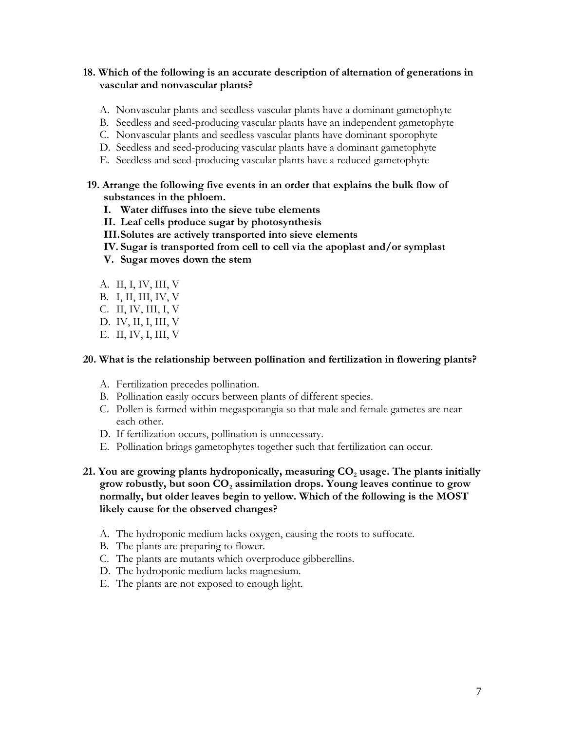# **18. Which of the following is an accurate description of alternation of generations in vascular and nonvascular plants?**

- A. Nonvascular plants and seedless vascular plants have a dominant gametophyte
- B. Seedless and seed-producing vascular plants have an independent gametophyte
- C. Nonvascular plants and seedless vascular plants have dominant sporophyte
- D. Seedless and seed-producing vascular plants have a dominant gametophyte
- E. Seedless and seed-producing vascular plants have a reduced gametophyte

# **19. Arrange the following five events in an order that explains the bulk flow of substances in the phloem.**

- **I. Water diffuses into the sieve tube elements**
- **II. Leaf cells produce sugar by photosynthesis**
- **III.Solutes are actively transported into sieve elements**
- **IV. Sugar is transported from cell to cell via the apoplast and/or symplast**
- **V. Sugar moves down the stem**
- A. II, I, IV, III, V
- B. I, II, III, IV, V
- C. II, IV, III, I, V
- D. IV, II, I, III, V
- E. II, IV, I, III, V

#### **20. What is the relationship between pollination and fertilization in flowering plants?**

- A. Fertilization precedes pollination.
- B. Pollination easily occurs between plants of different species.
- C. Pollen is formed within megasporangia so that male and female gametes are near each other.
- D. If fertilization occurs, pollination is unnecessary.
- E. Pollination brings gametophytes together such that fertilization can occur.
- **21. You are growing plants hydroponically, measuring CO<sup>2</sup> usage. The plants initially grow robustly, but soon CO<sup>2</sup> assimilation drops. Young leaves continue to grow normally, but older leaves begin to yellow. Which of the following is the MOST likely cause for the observed changes?** 
	- A. The hydroponic medium lacks oxygen, causing the roots to suffocate.
	- B. The plants are preparing to flower.
	- C. The plants are mutants which overproduce gibberellins.
	- D. The hydroponic medium lacks magnesium.
	- E. The plants are not exposed to enough light.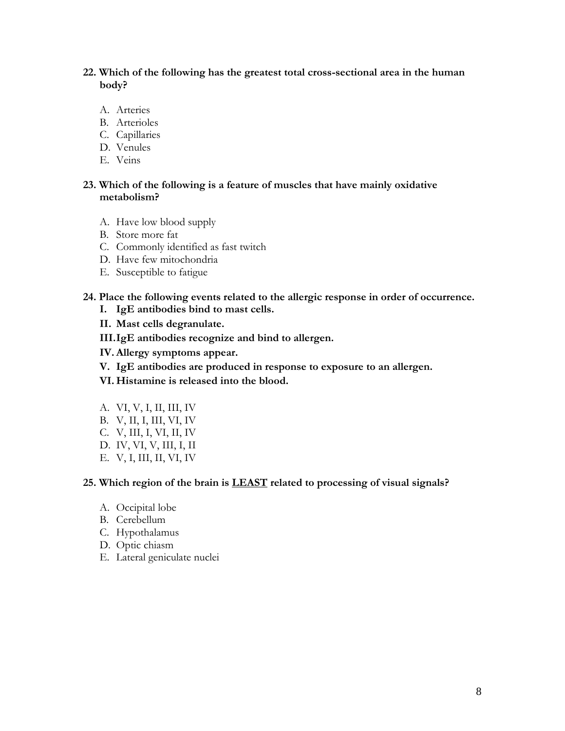**22. Which of the following has the greatest total cross-sectional area in the human body?**

- A. Arteries
- B. Arterioles
- C. Capillaries
- D. Venules
- E. Veins

#### **23. Which of the following is a feature of muscles that have mainly oxidative metabolism?**

- A. Have low blood supply
- B. Store more fat
- C. Commonly identified as fast twitch
- D. Have few mitochondria
- E. Susceptible to fatigue

#### **24. Place the following events related to the allergic response in order of occurrence.**

- **I. IgE antibodies bind to mast cells.**
- **II. Mast cells degranulate.**
- **III.IgE antibodies recognize and bind to allergen.**
- **IV. Allergy symptoms appear.**
- **V. IgE antibodies are produced in response to exposure to an allergen.**
- **VI. Histamine is released into the blood.**
- A. VI, V, I, II, III, IV
- B. V, II, I, III, VI, IV
- C. V, III, I, VI, II, IV
- D. IV, VI, V, III, I, II
- E. V, I, III, II, VI, IV

#### **25. Which region of the brain is LEAST related to processing of visual signals?**

- A. Occipital lobe
- B. Cerebellum
- C. Hypothalamus
- D. Optic chiasm
- E. Lateral geniculate nuclei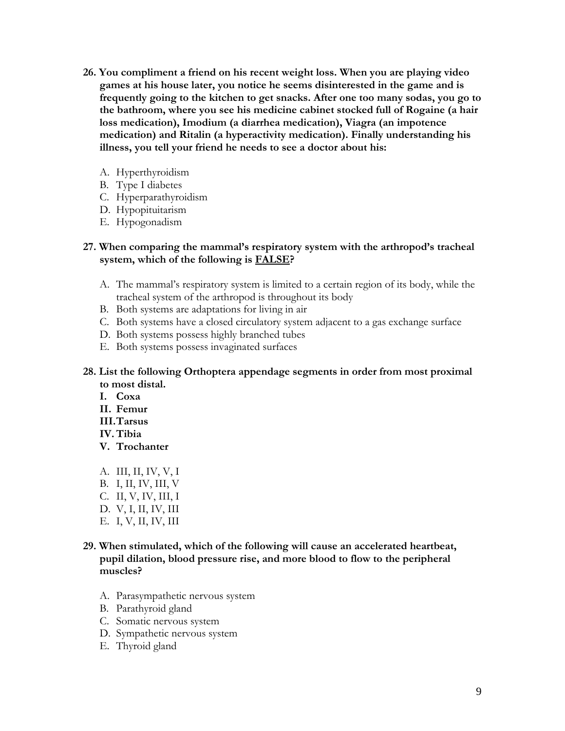- **26. You compliment a friend on his recent weight loss. When you are playing video games at his house later, you notice he seems disinterested in the game and is frequently going to the kitchen to get snacks. After one too many sodas, you go to the bathroom, where you see his medicine cabinet stocked full of Rogaine (a hair loss medication), Imodium (a diarrhea medication), Viagra (an impotence medication) and Ritalin (a hyperactivity medication). Finally understanding his illness, you tell your friend he needs to see a doctor about his:** 
	- A. Hyperthyroidism
	- B. Type I diabetes
	- C. Hyperparathyroidism
	- D. Hypopituitarism
	- E. Hypogonadism

#### **27. When comparing the mammal's respiratory system with the arthropod's tracheal system, which of the following is FALSE?**

- A. The mammal's respiratory system is limited to a certain region of its body, while the tracheal system of the arthropod is throughout its body
- B. Both systems are adaptations for living in air
- C. Both systems have a closed circulatory system adjacent to a gas exchange surface
- D. Both systems possess highly branched tubes
- E. Both systems possess invaginated surfaces
- **28. List the following Orthoptera appendage segments in order from most proximal to most distal.** 
	- **I. Coxa**
	- **II. Femur**
	- **III.Tarsus**
	- **IV.Tibia**
	- **V. Trochanter**
	- A. III, II, IV, V, I
	- B. I, II, IV, III, V
	- C. II, V, IV, III, I
	- D. V, I, II, IV, III
	- E. I, V, II, IV, III
- **29. When stimulated, which of the following will cause an accelerated heartbeat, pupil dilation, blood pressure rise, and more blood to flow to the peripheral muscles?**
	- A. Parasympathetic nervous system
	- B. Parathyroid gland
	- C. Somatic nervous system
	- D. Sympathetic nervous system
	- E. Thyroid gland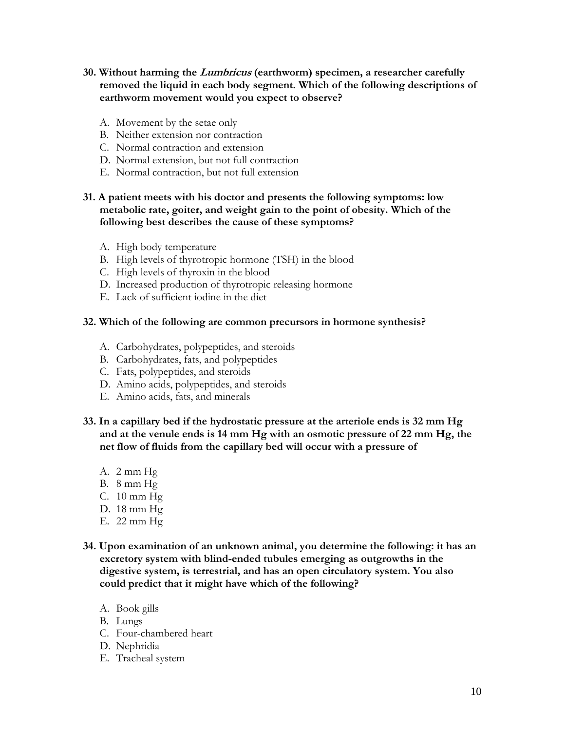- **30. Without harming the Lumbricus (earthworm) specimen, a researcher carefully removed the liquid in each body segment. Which of the following descriptions of earthworm movement would you expect to observe?**
	- A. Movement by the setae only
	- B. Neither extension nor contraction
	- C. Normal contraction and extension
	- D. Normal extension, but not full contraction
	- E. Normal contraction, but not full extension

# **31. A patient meets with his doctor and presents the following symptoms: low metabolic rate, goiter, and weight gain to the point of obesity. Which of the following best describes the cause of these symptoms?**

- A. High body temperature
- B. High levels of thyrotropic hormone (TSH) in the blood
- C. High levels of thyroxin in the blood
- D. Increased production of thyrotropic releasing hormone
- E. Lack of sufficient iodine in the diet

#### **32. Which of the following are common precursors in hormone synthesis?**

- A. Carbohydrates, polypeptides, and steroids
- B. Carbohydrates, fats, and polypeptides
- C. Fats, polypeptides, and steroids
- D. Amino acids, polypeptides, and steroids
- E. Amino acids, fats, and minerals
- **33. In a capillary bed if the hydrostatic pressure at the arteriole ends is 32 mm Hg and at the venule ends is 14 mm Hg with an osmotic pressure of 22 mm Hg, the net flow of fluids from the capillary bed will occur with a pressure of**
	- A. 2 mm Hg
	- B. 8 mm Hg
	- C. 10 mm Hg
	- D. 18 mm Hg
	- E. 22 mm Hg
- **34. Upon examination of an unknown animal, you determine the following: it has an excretory system with blind-ended tubules emerging as outgrowths in the digestive system, is terrestrial, and has an open circulatory system. You also could predict that it might have which of the following?**
	- A. Book gills
	- B. Lungs
	- C. Four-chambered heart
	- D. Nephridia
	- E. Tracheal system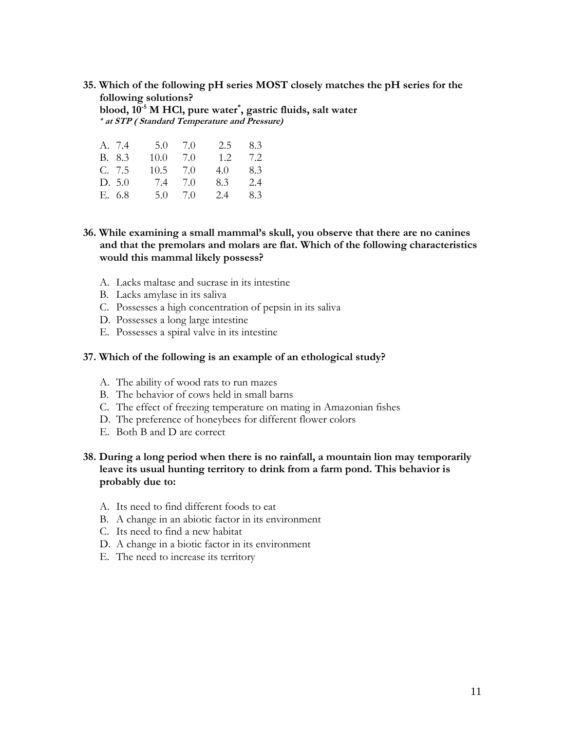**35. Which of the following pH series MOST closely matches the pH series for the following solutions? blood, 10-5 M HCl, pure water\* , gastric fluids, salt water \* at STP ( Standard Temperature and Pressure)**

| A. 7.4 | 5.0  | 7.0   | $2.5^{\circ}$ | 8.3 |
|--------|------|-------|---------------|-----|
| B. 8.3 | 10.0 | 7.0   | 1.2.          | 7.2 |
| C. 7.5 | 10.5 | - 7.0 | 4.0           | 8.3 |
| D. 5.0 | 7.4  | 7.0   | 8.3           | 2.4 |
| E. 6.8 | 5.0  | 7.0   | 2.4           | 8.3 |

**36. While examining a small mammal's skull, you observe that there are no canines and that the premolars and molars are flat. Which of the following characteristics would this mammal likely possess?**

- A. Lacks maltase and sucrase in its intestine
- B. Lacks amylase in its saliva
- C. Possesses a high concentration of pepsin in its saliva
- D. Possesses a long large intestine
- E. Possesses a spiral valve in its intestine

#### **37. Which of the following is an example of an ethological study?**

- A. The ability of wood rats to run mazes
- B. The behavior of cows held in small barns
- C. The effect of freezing temperature on mating in Amazonian fishes
- D. The preference of honeybees for different flower colors
- E. Both B and D are correct

# **38. During a long period when there is no rainfall, a mountain lion may temporarily leave its usual hunting territory to drink from a farm pond. This behavior is probably due to:**

- A. Its need to find different foods to eat
- B. A change in an abiotic factor in its environment
- C. Its need to find a new habitat
- D. A change in a biotic factor in its environment
- E. The need to increase its territory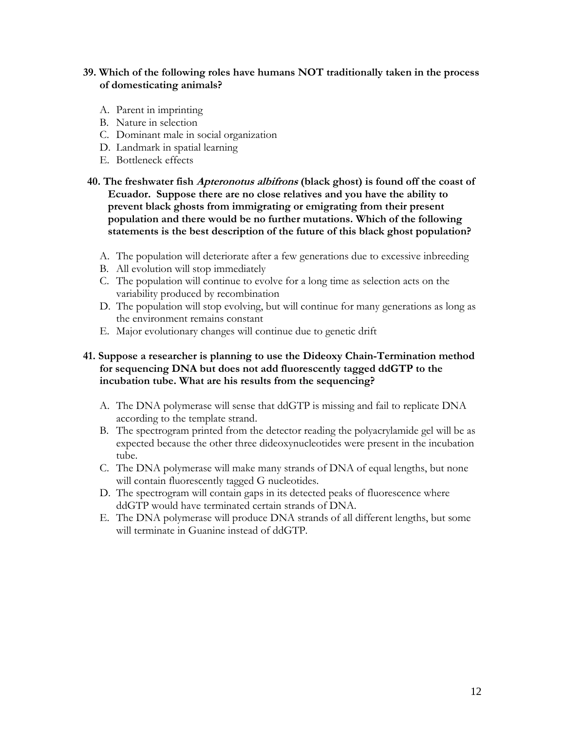# **39. Which of the following roles have humans NOT traditionally taken in the process of domesticating animals?**

- A. Parent in imprinting
- B. Nature in selection
- C. Dominant male in social organization
- D. Landmark in spatial learning
- E. Bottleneck effects
- **40. The freshwater fish [Apteronotus albifrons](http://fishbase.org/Country/CountrySpeciesSummary.cfm?c_code=218&id=12220) (black ghost) is found off the coast of Ecuador. Suppose there are no close relatives and you have the ability to prevent black ghosts from immigrating or emigrating from their present population and there would be no further mutations. Which of the following statements is the best description of the future of this black ghost population?**
	- A. The population will deteriorate after a few generations due to excessive inbreeding
	- B. All evolution will stop immediately
	- C. The population will continue to evolve for a long time as selection acts on the variability produced by recombination
	- D. The population will stop evolving, but will continue for many generations as long as the environment remains constant
	- E. Major evolutionary changes will continue due to genetic drift

# **41. Suppose a researcher is planning to use the Dideoxy Chain-Termination method for sequencing DNA but does not add fluorescently tagged ddGTP to the incubation tube. What are his results from the sequencing?**

- A. The DNA polymerase will sense that ddGTP is missing and fail to replicate DNA according to the template strand.
- B. The spectrogram printed from the detector reading the polyacrylamide gel will be as expected because the other three dideoxynucleotides were present in the incubation tube.
- C. The DNA polymerase will make many strands of DNA of equal lengths, but none will contain fluorescently tagged G nucleotides.
- D. The spectrogram will contain gaps in its detected peaks of fluorescence where ddGTP would have terminated certain strands of DNA.
- E. The DNA polymerase will produce DNA strands of all different lengths, but some will terminate in Guanine instead of ddGTP.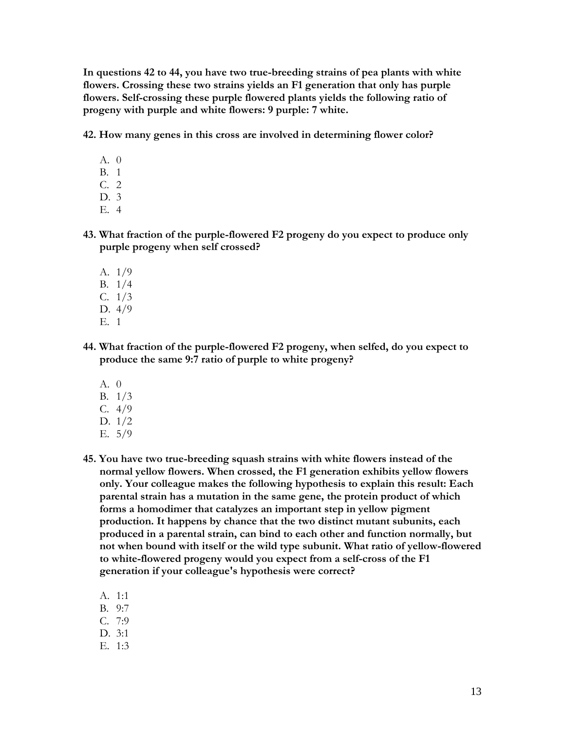**In questions 42 to 44, you have two true-breeding strains of pea plants with white flowers. Crossing these two strains yields an F1 generation that only has purple flowers. Self-crossing these purple flowered plants yields the following ratio of progeny with purple and white flowers: 9 purple: 7 white.**

**42. How many genes in this cross are involved in determining flower color?**

- A. 0
- B. 1
- C. 2
- D. 3
- E. 4
- **43. What fraction of the purple-flowered F2 progeny do you expect to produce only purple progeny when self crossed?**
	- A. 1/9 B. 1/4 C. 1/3 D. 4/9
	- E. 1
- **44. What fraction of the purple-flowered F2 progeny, when selfed, do you expect to produce the same 9:7 ratio of purple to white progeny?**
	- A. 0
	- B. 1/3
	- C. 4/9
	- D. 1/2
	- E. 5/9
- **45. You have two true-breeding squash strains with white flowers instead of the normal yellow flowers. When crossed, the F1 generation exhibits yellow flowers only. Your colleague makes the following hypothesis to explain this result: Each parental strain has a mutation in the same gene, the protein product of which forms a homodimer that catalyzes an important step in yellow pigment production. It happens by chance that the two distinct mutant subunits, each produced in a parental strain, can bind to each other and function normally, but not when bound with itself or the wild type subunit. What ratio of yellow-flowered to white-flowered progeny would you expect from a self-cross of the F1 generation if your colleague's hypothesis were correct?**
	- A. 1:1
	- B. 9:7
	- C. 7:9
	- D. 3:1
	- E. 1:3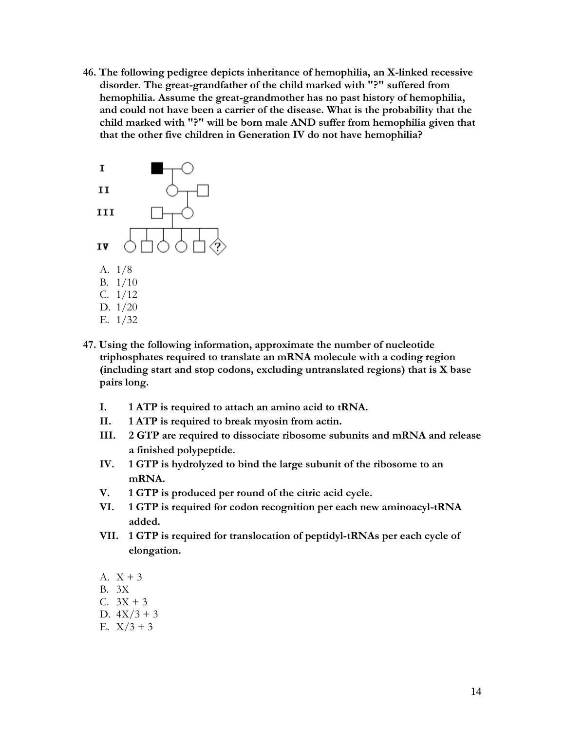**46. The following pedigree depicts inheritance of hemophilia, an X-linked recessive disorder. The great-grandfather of the child marked with "?" suffered from hemophilia. Assume the great-grandmother has no past history of hemophilia, and could not have been a carrier of the disease. What is the probability that the child marked with "?" will be born male AND suffer from hemophilia given that that the other five children in Generation IV do not have hemophilia?**



- **47. Using the following information, approximate the number of nucleotide triphosphates required to translate an mRNA molecule with a coding region (including start and stop codons, excluding untranslated regions) that is X base pairs long.**
	- **I. 1 ATP is required to attach an amino acid to tRNA.**
	- **II. 1 ATP is required to break myosin from actin.**
	- **III. 2 GTP are required to dissociate ribosome subunits and mRNA and release a finished polypeptide.**
	- **IV. 1 GTP is hydrolyzed to bind the large subunit of the ribosome to an mRNA.**
	- **V. 1 GTP is produced per round of the citric acid cycle.**
	- **VI. 1 GTP is required for codon recognition per each new aminoacyl-tRNA added.**
	- **VII. 1 GTP is required for translocation of peptidyl-tRNAs per each cycle of elongation.**
	- A.  $X + 3$
	- B. 3X
	- C.  $3X + 3$
	- D.  $4X/3 + 3$
	- E.  $X/3 + 3$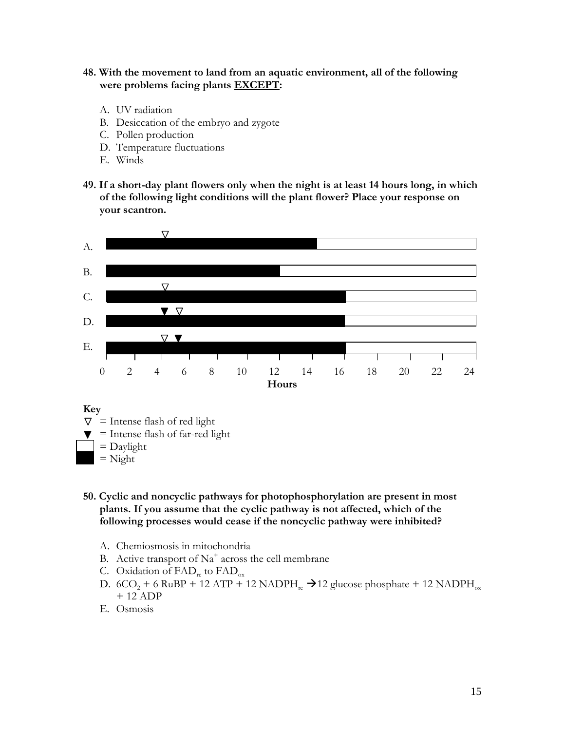#### **48. With the movement to land from an aquatic environment, all of the following were problems facing plants EXCEPT:**

- A. UV radiation
- B. Desiccation of the embryo and zygote
- C. Pollen production
- D. Temperature fluctuations
- E. Winds
- **49. If a short-day plant flowers only when the night is at least 14 hours long, in which of the following light conditions will the plant flower? Place your response on your scantron.**



#### **Key**

- $\nabla$  = Intense flash of red light
- $\blacktriangledown$  = Intense flash of far-red light
- $=$  Daylight
	- $=$  Night
- **50. Cyclic and noncyclic pathways for photophosphorylation are present in most plants. If you assume that the cyclic pathway is not affected, which of the following processes would cease if the noncyclic pathway were inhibited?**
	- A. Chemiosmosis in mitochondria
	- B. Active transport of  $Na^+$  across the cell membrane
	- C. Oxidation of  $FAD_{re}$  to  $FAD_{ox}$
	- D.  $6CO_2 + 6$  RuBP + 12 ATP + 12 NADPH<sub>re</sub>  $\rightarrow$  12 glucose phosphate + 12 NADPH<sub>ox</sub> + 12 ADP
	- E. Osmosis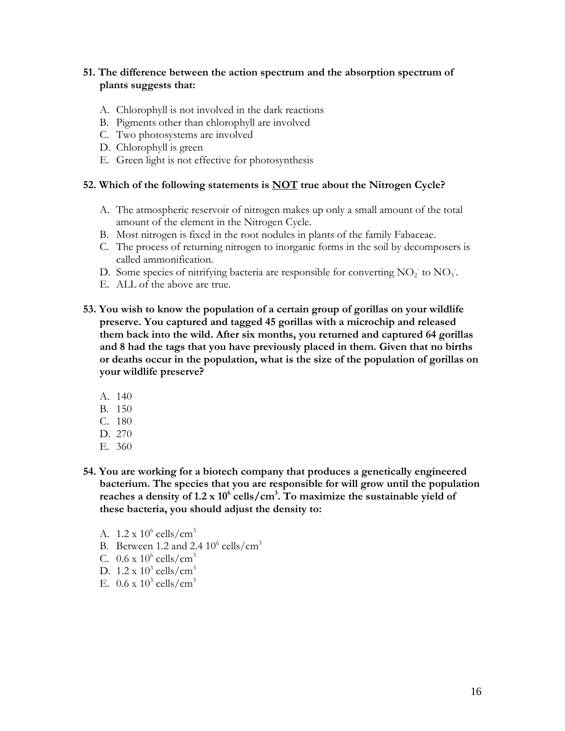# **51. The difference between the action spectrum and the absorption spectrum of plants suggests that:**

- A. Chlorophyll is not involved in the dark reactions
- B. Pigments other than chlorophyll are involved
- C. Two photosystems are involved
- D. Chlorophyll is green
- E. Green light is not effective for photosynthesis

#### **52. Which of the following statements is NOT true about the Nitrogen Cycle?**

- A. The atmospheric reservoir of nitrogen makes up only a small amount of the total amount of the element in the Nitrogen Cycle.
- B. Most nitrogen is fixed in the root nodules in plants of the family Fabaceae.
- C. The process of returning nitrogen to inorganic forms in the soil by decomposers is called ammonification.
- D. Some species of nitrifying bacteria are responsible for converting  $NO<sub>2</sub>$  to  $NO<sub>3</sub>$ .
- E. ALL of the above are true.
- **53. You wish to know the population of a certain group of gorillas on your wildlife preserve. You captured and tagged 45 gorillas with a microchip and released them back into the wild. After six months, you returned and captured 64 gorillas and 8 had the tags that you have previously placed in them. Given that no births or deaths occur in the population, what is the size of the population of gorillas on your wildlife preserve?**
	- A. 140
	- B. 150
	- C. 180
	- D. 270
	- E. 360
- **54. You are working for a biotech company that produces a genetically engineered bacterium. The species that you are responsible for will grow until the population reaches a density of 1.2 x 10<sup>6</sup> cells/cm<sup>3</sup> . To maximize the sustainable yield of these bacteria, you should adjust the density to:**
	- A.  $1.2 \times 10^6$  cells/cm<sup>3</sup>
	- B. Between 1.2 and 2.4  $10^6$  cells/cm<sup>3</sup>
	- C.  $0.6 \times 10^6$  cells/cm<sup>3</sup>
	- D.  $1.2 \times 10^3$  cells/cm<sup>3</sup>
	- E.  $0.6 \times 10^3$  cells/cm<sup>3</sup>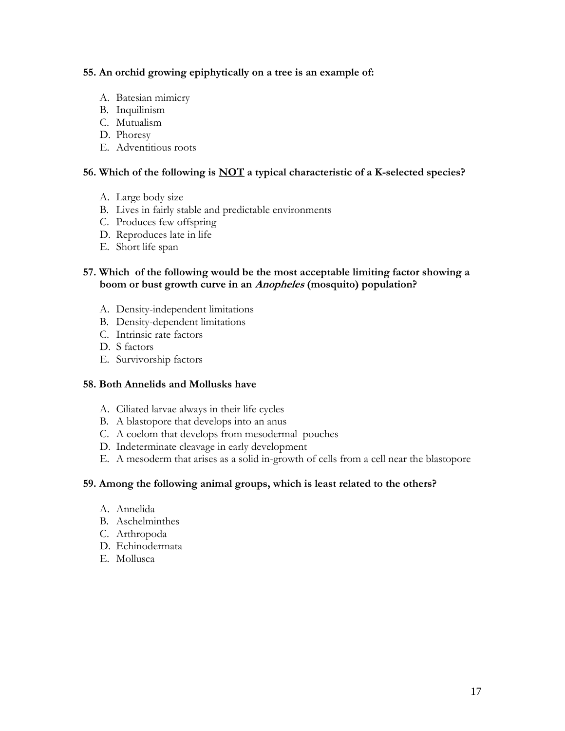# **55. An orchid growing epiphytically on a tree is an example of:**

- A. Batesian mimicry
- B. Inquilinism
- C. Mutualism
- D. Phoresy
- E. Adventitious roots

# **56. Which of the following is NOT a typical characteristic of a K-selected species?**

- A. Large body size
- B. Lives in fairly stable and predictable environments
- C. Produces few offspring
- D. Reproduces late in life
- E. Short life span

# **57. Which of the following would be the most acceptable limiting factor showing a boom or bust growth curve in an Anopheles (mosquito) population?**

- A. Density-independent limitations
- B. Density-dependent limitations
- C. Intrinsic rate factors
- D. S factors
- E. Survivorship factors

# **58. Both Annelids and Mollusks have**

- A. Ciliated larvae always in their life cycles
- B. A blastopore that develops into an anus
- C. A coelom that develops from mesodermal pouches
- D. Indeterminate cleavage in early development
- E. A mesoderm that arises as a solid in-growth of cells from a cell near the blastopore

# **59. Among the following animal groups, which is least related to the others?**

- A. Annelida
- B. Aschelminthes
- C. Arthropoda
- D. Echinodermata
- E. Mollusca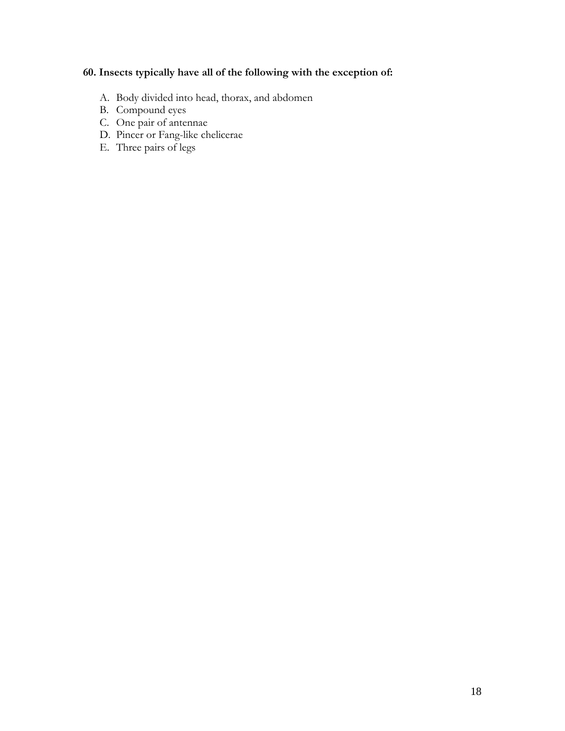# **60. Insects typically have all of the following with the exception of:**

- A. Body divided into head, thorax, and abdomen
- B. Compound eyes
- C. One pair of antennae
- D. Pincer or Fang-like chelicerae
- E. Three pairs of legs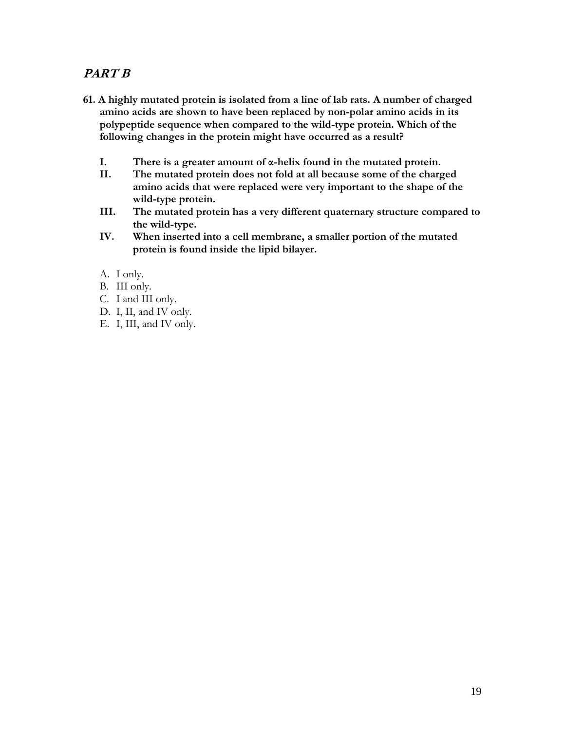# **PART B**

- **61. A highly mutated protein is isolated from a line of lab rats. A number of charged amino acids are shown to have been replaced by non-polar amino acids in its polypeptide sequence when compared to the wild-type protein. Which of the following changes in the protein might have occurred as a result?**
	- **I. There is a greater amount of α-helix found in the mutated protein.**
	- **II. The mutated protein does not fold at all because some of the charged amino acids that were replaced were very important to the shape of the wild-type protein.**
	- **III. The mutated protein has a very different quaternary structure compared to the wild-type.**
	- **IV. When inserted into a cell membrane, a smaller portion of the mutated protein is found inside the lipid bilayer.**
	- A. I only.
	- B. III only.
	- C. I and III only.
	- D. I, II, and IV only.
	- E. I, III, and IV only.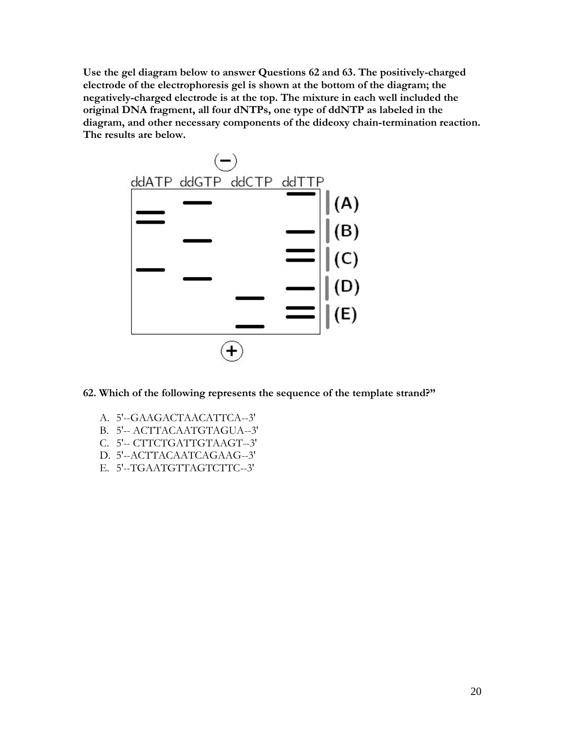**Use the gel diagram below to answer Questions 62 and 63. The positively-charged electrode of the electrophoresis gel is shown at the bottom of the diagram; the negatively-charged electrode is at the top. The mixture in each well included the original DNA fragment, all four dNTPs, one type of ddNTP as labeled in the diagram, and other necessary components of the dideoxy chain-termination reaction. The results are below.** 



- **62. Which of the following represents the sequence of the template strand?"**
	- A. 5'--GAAGACTAACATTCA--3'
	- B. 5'-- ACTTACAATGTAGUA--3'
	- C. 5'-- CTTCTGATTGTAAGT--3'
	- D. 5'--ACTTACAATCAGAAG--3'
	- E. 5'--TGAATGTTAGTCTTC--3'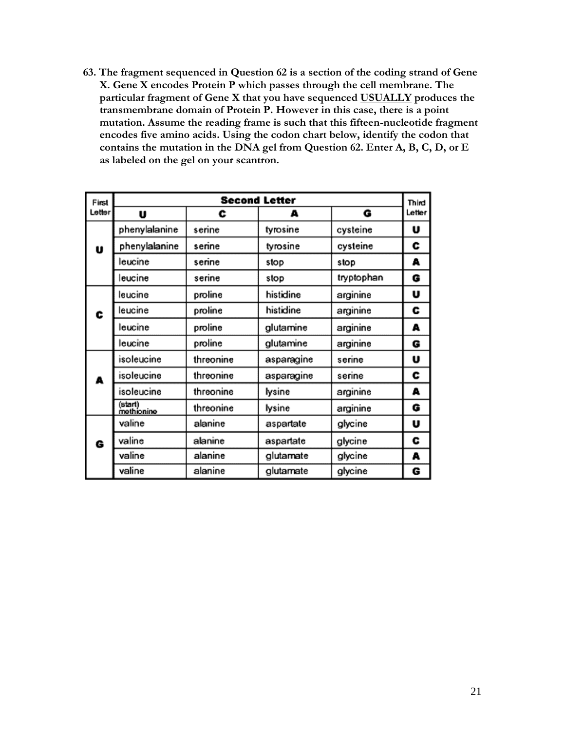**63. The fragment sequenced in Question 62 is a section of the coding strand of Gene X. Gene X encodes Protein P which passes through the cell membrane. The particular fragment of Gene X that you have sequenced USUALLY produces the transmembrane domain of Protein P. However in this case, there is a point mutation. Assume the reading frame is such that this fifteen-nucleotide fragment encodes five amino acids. Using the codon chart below, identify the codon that contains the mutation in the DNA gel from Question 62. Enter A, B, C, D, or E as labeled on the gel on your scantron.**

| First  |                       |           | <b>Second Letter</b> |            | Third  |
|--------|-----------------------|-----------|----------------------|------------|--------|
| Letter | U                     | c         | А                    | G          | Letter |
|        | phenylalanine         | serine    | tyrosine             | cysteine   | U      |
| U      | phenylalanine         | serine    | tyrosine             | cysteine   | c      |
|        | leucine               | serine    | stop                 | stop       | A      |
|        | leucine               | serine    | stop                 | tryptophan | G      |
|        | leucine               | proline   | histidine            | arginine   | U      |
| c      | leucine               | proline   | histidine            | arginine   | c      |
|        | leucine               | proline   | glutamine            | arginine   | А      |
|        | leucine               | proline   | glutamine            | arginine   | G      |
|        | isoleucine            | threonine | asparagine           | serine     | U      |
| A      | isoleucine            | threonine | asparagine           | serine     | c      |
|        | isoleucine            | threonine | lysine               | arginine   | A      |
|        | (start)<br>methionine | threonine | lysine               | arginine   | G      |
|        | valine                | alanine   | aspartate            | glycine    | U      |
| G      | valine                | alanine   | aspartate            | glycine    | c      |
|        | valine                | alanine   | glutamate            | glycine    | A      |
|        | valine                | alanine   | glutamate            | glycine    | G      |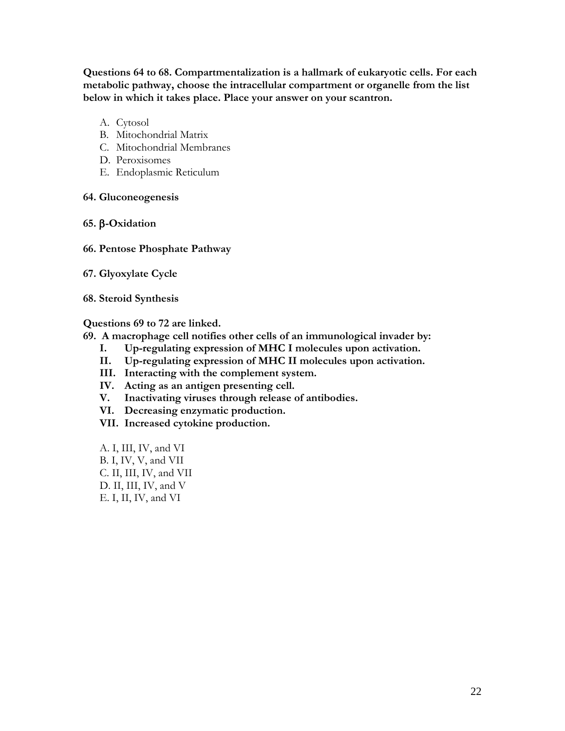**Questions 64 to 68. Compartmentalization is a hallmark of eukaryotic cells. For each metabolic pathway, choose the intracellular compartment or organelle from the list below in which it takes place. Place your answer on your scantron.**

- A. Cytosol
- B. Mitochondrial Matrix
- C. Mitochondrial Membranes
- D. Peroxisomes
- E. Endoplasmic Reticulum
- **64. Gluconeogenesis**
- **65. -Oxidation**
- **66. Pentose Phosphate Pathway**
- **67. Glyoxylate Cycle**
- **68. Steroid Synthesis**

#### **Questions 69 to 72 are linked.**

- **69. A macrophage cell notifies other cells of an immunological invader by:**
	- **I. Up-regulating expression of MHC I molecules upon activation.**
	- **II. Up-regulating expression of MHC II molecules upon activation.**
	- **III. Interacting with the complement system.**
	- **IV. Acting as an antigen presenting cell.**
	- **V. Inactivating viruses through release of antibodies.**
	- **VI. Decreasing enzymatic production.**
	- **VII. Increased cytokine production.**
	- A. I, III, IV, and VI B. I, IV, V, and VII C. II, III, IV, and VII D. II, III, IV, and V E. I, II, IV, and VI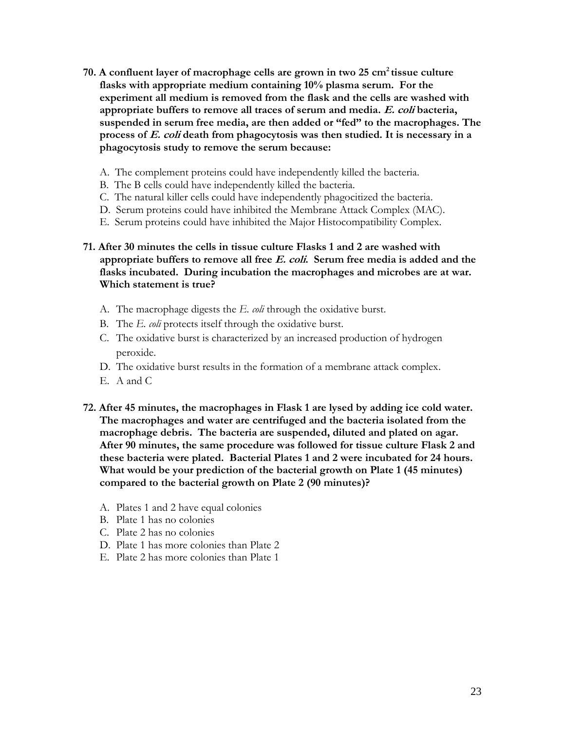- **70. A confluent layer of macrophage cells are grown in two 25 cm<sup>2</sup>tissue culture flasks with appropriate medium containing 10% plasma serum. For the experiment all medium is removed from the flask and the cells are washed with appropriate buffers to remove all traces of serum and media. E. coli bacteria, suspended in serum free media, are then added or "fed" to the macrophages. The process of E. coli death from phagocytosis was then studied. It is necessary in a phagocytosis study to remove the serum because:**
	- A. The complement proteins could have independently killed the bacteria.
	- B. The B cells could have independently killed the bacteria.
	- C. The natural killer cells could have independently phagocitized the bacteria.
	- D. Serum proteins could have inhibited the Membrane Attack Complex (MAC).
	- E. Serum proteins could have inhibited the Major Histocompatibility Complex.

# **71. After 30 minutes the cells in tissue culture Flasks 1 and 2 are washed with appropriate buffers to remove all free E. coli. Serum free media is added and the flasks incubated. During incubation the macrophages and microbes are at war. Which statement is true?**

- A. The macrophage digests the *E. coli* through the oxidative burst.
- B. The *E. coli* protects itself through the oxidative burst.
- C. The oxidative burst is characterized by an increased production of hydrogen peroxide.
- D. The oxidative burst results in the formation of a membrane attack complex.
- E. A and C
- **72. After 45 minutes, the macrophages in Flask 1 are lysed by adding ice cold water. The macrophages and water are centrifuged and the bacteria isolated from the macrophage debris. The bacteria are suspended, diluted and plated on agar. After 90 minutes, the same procedure was followed for tissue culture Flask 2 and these bacteria were plated. Bacterial Plates 1 and 2 were incubated for 24 hours. What would be your prediction of the bacterial growth on Plate 1 (45 minutes) compared to the bacterial growth on Plate 2 (90 minutes)?**
	- A. Plates 1 and 2 have equal colonies
	- B. Plate 1 has no colonies
	- C. Plate 2 has no colonies
	- D. Plate 1 has more colonies than Plate 2
	- E. Plate 2 has more colonies than Plate 1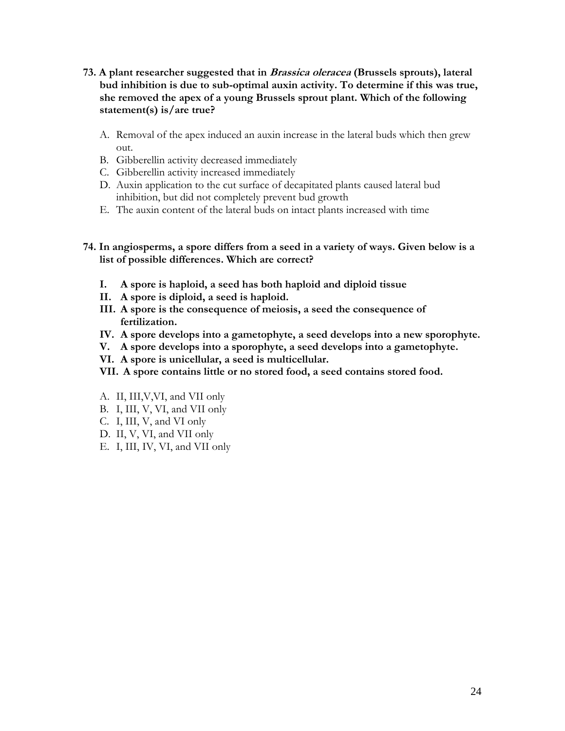- **73. A plant researcher suggested that in Brassica oleracea (Brussels sprouts), lateral bud inhibition is due to sub-optimal auxin activity. To determine if this was true, she removed the apex of a young Brussels sprout plant. Which of the following statement(s) is/are true?**
	- A. Removal of the apex induced an auxin increase in the lateral buds which then grew out.
	- B. Gibberellin activity decreased immediately
	- C. Gibberellin activity increased immediately
	- D. Auxin application to the cut surface of decapitated plants caused lateral bud inhibition, but did not completely prevent bud growth
	- E. The auxin content of the lateral buds on intact plants increased with time
- **74. In angiosperms, a spore differs from a seed in a variety of ways. Given below is a list of possible differences. Which are correct?**
	- **I. A spore is haploid, a seed has both haploid and diploid tissue**
	- **II. A spore is diploid, a seed is haploid.**
	- **III. A spore is the consequence of meiosis, a seed the consequence of fertilization.**
	- **IV. A spore develops into a gametophyte, a seed develops into a new sporophyte.**
	- **V. A spore develops into a sporophyte, a seed develops into a gametophyte.**
	- **VI. A spore is unicellular, a seed is multicellular.**
	- **VII. A spore contains little or no stored food, a seed contains stored food.**
	- A. II, III,V,VI, and VII only
	- B. I, III, V, VI, and VII only
	- C. I, III, V, and VI only
	- D. II, V, VI, and VII only
	- E. I, III, IV, VI, and VII only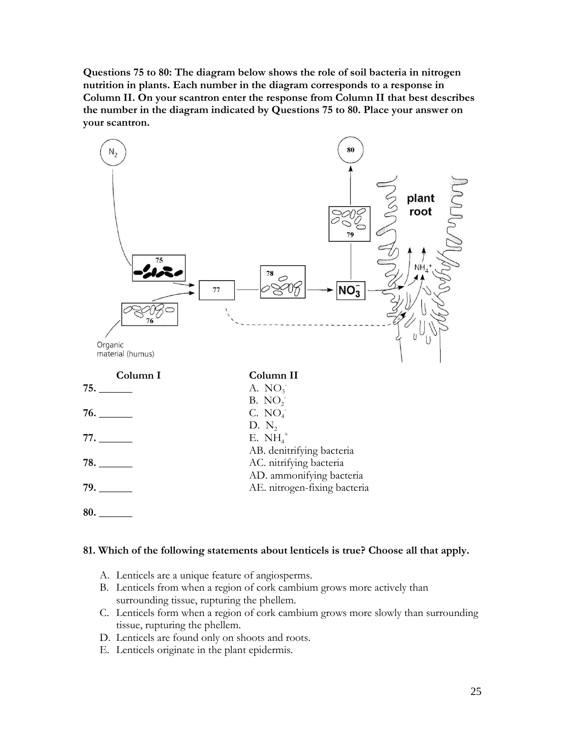**Questions 75 to 80: The diagram below shows the role of soil bacteria in nitrogen nutrition in plants. Each number in the diagram corresponds to a response in Column II. On your scantron enter the response from Column II that best describes the number in the diagram indicated by Questions 75 to 80. Place your answer on your scantron.**



# **81. Which of the following statements about lenticels is true? Choose all that apply.**

- A. Lenticels are a unique feature of angiosperms.
- B. Lenticels from when a region of cork cambium grows more actively than surrounding tissue, rupturing the phellem.
- C. Lenticels form when a region of cork cambium grows more slowly than surrounding tissue, rupturing the phellem.
- D. Lenticels are found only on shoots and roots.
- E. Lenticels originate in the plant epidermis.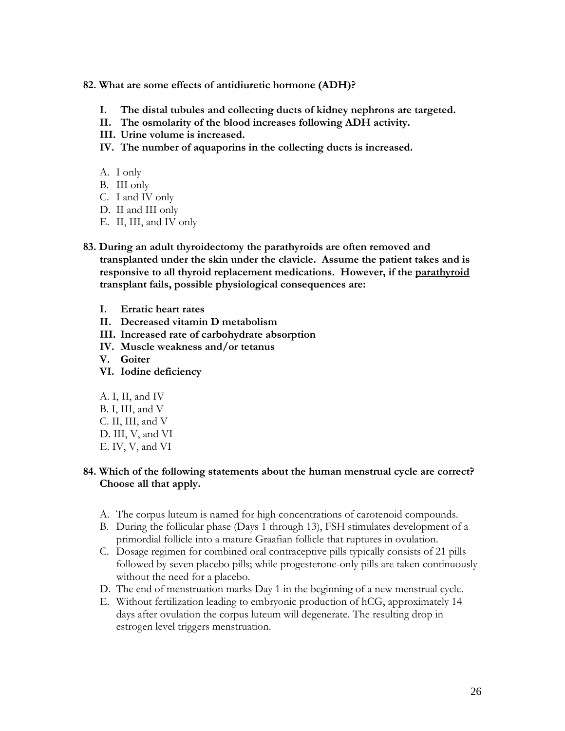#### **82. What are some effects of antidiuretic hormone (ADH)?**

- **I. The distal tubules and collecting ducts of kidney nephrons are targeted.**
- **II. The osmolarity of the blood increases following ADH activity.**
- **III. Urine volume is increased.**
- **IV. The number of aquaporins in the collecting ducts is increased.**
- A. I only
- B. III only
- C. I and IV only
- D. II and III only
- E. II, III, and IV only
- **83. During an adult thyroidectomy the parathyroids are often removed and transplanted under the skin under the clavicle. Assume the patient takes and is responsive to all thyroid replacement medications. However, if the parathyroid transplant fails, possible physiological consequences are:**
	- **I. Erratic heart rates**
	- **II. Decreased vitamin D metabolism**
	- **III. Increased rate of carbohydrate absorption**
	- **IV. Muscle weakness and/or tetanus**
	- **V. Goiter**
	- **VI. Iodine deficiency**
	- A. I, II, and IV B. I, III, and V C. II, III, and V D. III, V, and VI E. IV, V, and VI

# **84. Which of the following statements about the human menstrual cycle are correct? Choose all that apply.**

- A. The corpus luteum is named for high concentrations of carotenoid compounds.
- B. During the follicular phase (Days 1 through 13), FSH stimulates development of a primordial follicle into a mature Graafian follicle that ruptures in ovulation.
- C. Dosage regimen for combined oral contraceptive pills typically consists of 21 pills followed by seven placebo pills; while progesterone-only pills are taken continuously without the need for a placebo.
- D. The end of menstruation marks Day 1 in the beginning of a new menstrual cycle.
- E. Without fertilization leading to embryonic production of hCG, approximately 14 days after ovulation the corpus luteum will degenerate. The resulting drop in estrogen level triggers menstruation.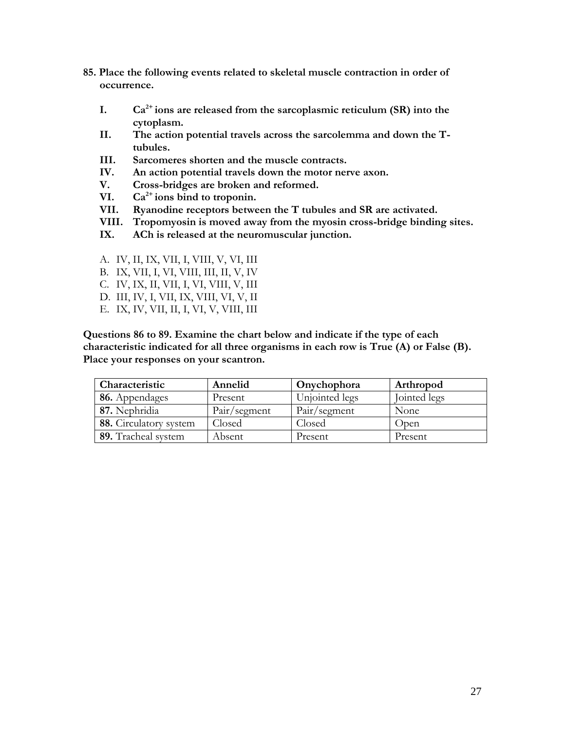- **85. Place the following events related to skeletal muscle contraction in order of occurrence.**
	- **I.**  $Ca^{2+}$  ions are released from the sarcoplasmic reticulum (SR) into the **cytoplasm.**
	- **II. The action potential travels across the sarcolemma and down the Ttubules.**
	- **III. Sarcomeres shorten and the muscle contracts.**
	- **IV. An action potential travels down the motor nerve axon.**
	- **V. Cross-bridges are broken and reformed.**
	- VI.  $Ca^{2+}$  **ions bind to troponin.**
	- **VII. Ryanodine receptors between the T tubules and SR are activated.**
	- **VIII. Tropomyosin is moved away from the myosin cross-bridge binding sites.**
	- **IX. ACh is released at the neuromuscular junction.**
	- A. IV, II, IX, VII, I, VIII, V, VI, III
	- B. IX, VII, I, VI, VIII, III, II, V, IV
	- C. IV, IX, II, VII, I, VI, VIII, V, III
	- D. III, IV, I, VII, IX, VIII, VI, V, II
	- E. IX, IV, VII, II, I, VI, V, VIII, III

**Questions 86 to 89. Examine the chart below and indicate if the type of each characteristic indicated for all three organisms in each row is True (A) or False (B). Place your responses on your scantron.**

| Characteristic         | Annelid      | Onychophora    | Arthropod    |
|------------------------|--------------|----------------|--------------|
| 86. Appendages         | Present      | Unjointed legs | Jointed legs |
| 87. Nephridia          | Pair/segment | Pair/segment   | None         |
| 88. Circulatory system | Closed       | Closed         | Open         |
| 89. Tracheal system    | Absent       | Present        | Present      |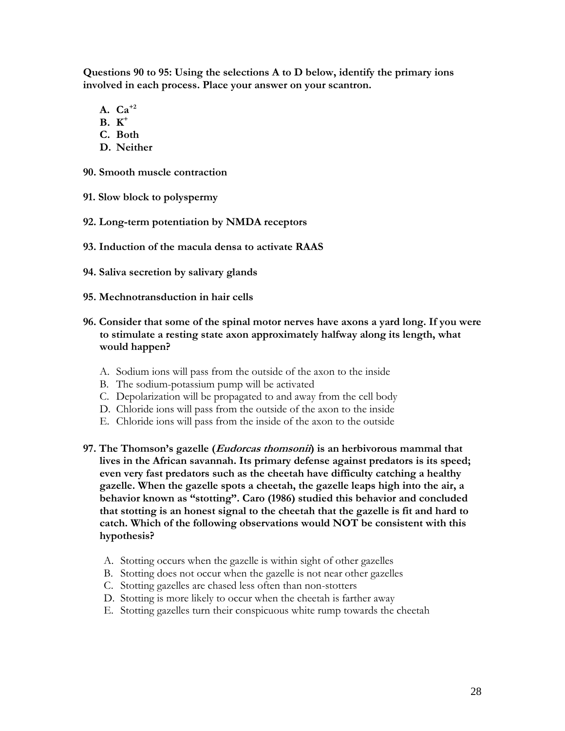**Questions 90 to 95: Using the selections A to D below, identify the primary ions involved in each process. Place your answer on your scantron.**

- **A. Ca+2**
- **B. K +**
- **C. Both**
- **D. Neither**
- **90. Smooth muscle contraction**
- **91. Slow block to polyspermy**
- **92. Long-term potentiation by NMDA receptors**
- **93. Induction of the macula densa to activate RAAS**
- **94. Saliva secretion by salivary glands**
- **95. Mechnotransduction in hair cells**
- **96. Consider that some of the spinal motor nerves have axons a yard long. If you were to stimulate a resting state axon approximately halfway along its length, what would happen?**
	- A. Sodium ions will pass from the outside of the axon to the inside
	- B. The sodium-potassium pump will be activated
	- C. Depolarization will be propagated to and away from the cell body
	- D. Chloride ions will pass from the outside of the axon to the inside
	- E. Chloride ions will pass from the inside of the axon to the outside
- **97. The Thomson's gazelle (Eudorcas thomsonii) is an herbivorous mammal that lives in the African savannah. Its primary defense against predators is its speed; even very fast predators such as the cheetah have difficulty catching a healthy gazelle. When the gazelle spots a cheetah, the gazelle leaps high into the air, a behavior known as "stotting". Caro (1986) studied this behavior and concluded that stotting is an honest signal to the cheetah that the gazelle is fit and hard to catch. Which of the following observations would NOT be consistent with this hypothesis?**
	- A. Stotting occurs when the gazelle is within sight of other gazelles
	- B. Stotting does not occur when the gazelle is not near other gazelles
	- C. Stotting gazelles are chased less often than non-stotters
	- D. Stotting is more likely to occur when the cheetah is farther away
	- E. Stotting gazelles turn their conspicuous white rump towards the cheetah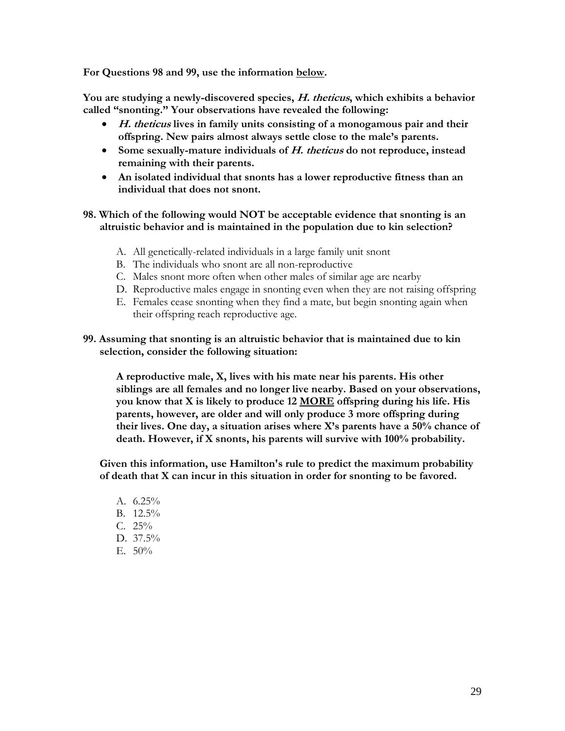**For Questions 98 and 99, use the information below.**

**You are studying a newly-discovered species, H. theticus, which exhibits a behavior called "snonting." Your observations have revealed the following:**

- **H. theticus lives in family units consisting of a monogamous pair and their offspring. New pairs almost always settle close to the male's parents.**
- **Some sexually-mature individuals of H. theticus do not reproduce, instead remaining with their parents.**
- **An isolated individual that snonts has a lower reproductive fitness than an individual that does not snont.**

# **98. Which of the following would NOT be acceptable evidence that snonting is an altruistic behavior and is maintained in the population due to kin selection?**

- A. All genetically-related individuals in a large family unit snont
- B. The individuals who snont are all non-reproductive
- C. Males snont more often when other males of similar age are nearby
- D. Reproductive males engage in snonting even when they are not raising offspring
- E. Females cease snonting when they find a mate, but begin snonting again when their offspring reach reproductive age.

## **99. Assuming that snonting is an altruistic behavior that is maintained due to kin selection, consider the following situation:**

**A reproductive male, X, lives with his mate near his parents. His other siblings are all females and no longer live nearby. Based on your observations, you know that X is likely to produce 12 MORE offspring during his life. His parents, however, are older and will only produce 3 more offspring during their lives. One day, a situation arises where X's parents have a 50% chance of death. However, if X snonts, his parents will survive with 100% probability.**

**Given this information, use Hamilton's rule to predict the maximum probability of death that X can incur in this situation in order for snonting to be favored.**

A.  $6.25\%$ B. 12.5% C. 25% D. 37.5% E.  $50\%$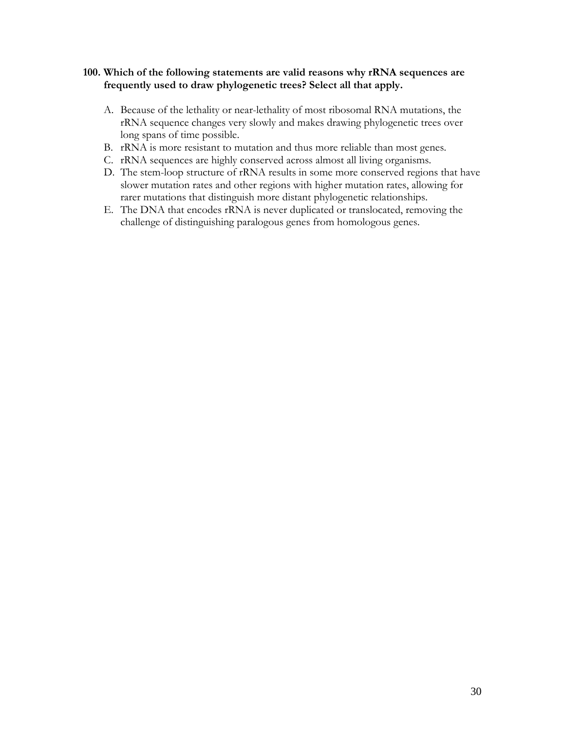# **100. Which of the following statements are valid reasons why rRNA sequences are frequently used to draw phylogenetic trees? Select all that apply.**

- A. Because of the lethality or near-lethality of most ribosomal RNA mutations, the rRNA sequence changes very slowly and makes drawing phylogenetic trees over long spans of time possible.
- B. rRNA is more resistant to mutation and thus more reliable than most genes.
- C. rRNA sequences are highly conserved across almost all living organisms.
- D. The stem-loop structure of rRNA results in some more conserved regions that have slower mutation rates and other regions with higher mutation rates, allowing for rarer mutations that distinguish more distant phylogenetic relationships.
- E. The DNA that encodes rRNA is never duplicated or translocated, removing the challenge of distinguishing paralogous genes from homologous genes.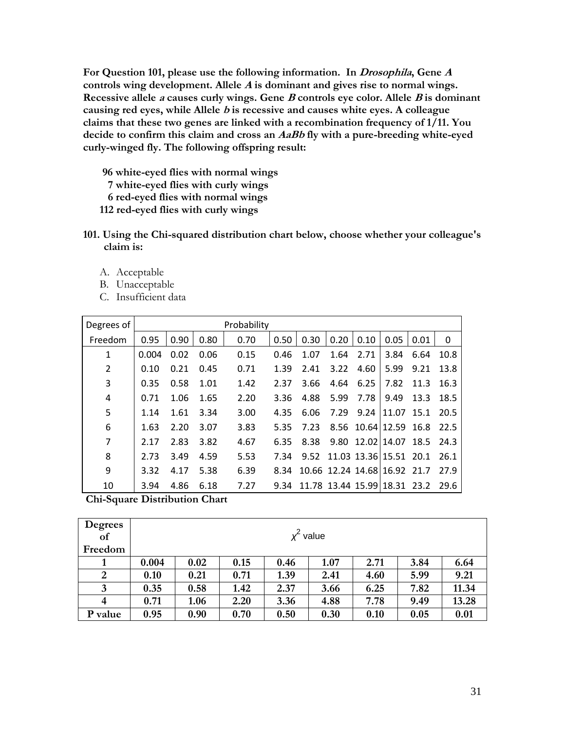**For Question 101, please use the following information. In Drosophila, Gene <sup>A</sup> controls wing development. Allele <sup>A</sup> is dominant and gives rise to normal wings. Recessive allele <sup>a</sup> causes curly wings. Gene <sup>B</sup> controls eye color. Allele <sup>B</sup> is dominant causing red eyes, while Allele <sup>b</sup> is recessive and causes white eyes. A colleague claims that these two genes are linked with a recombination frequency of 1/11. You decide to confirm this claim and cross an AaBb fly with a pure-breeding white-eyed curly-winged fly. The following offspring result:**

- **96 white-eyed flies with normal wings**
- **7 white-eyed flies with curly wings**
- **6 red-eyed flies with normal wings**
- **112 red-eyed flies with curly wings**
- **101. Using the Chi-squared distribution chart below, choose whether your colleague's claim is:**
	- A. Acceptable
	- B. Unacceptable
	- C. Insufficient data

| Degrees of     |       |      |      | Probability |      |                                   |      |      |                              |      |      |
|----------------|-------|------|------|-------------|------|-----------------------------------|------|------|------------------------------|------|------|
| Freedom        | 0.95  | 0.90 | 0.80 | 0.70        | 0.50 | 0.30                              | 0.20 | 0.10 | 0.05                         | 0.01 | 0    |
| $\mathbf{1}$   | 0.004 | 0.02 | 0.06 | 0.15        | 0.46 | 1.07                              | 1.64 | 2.71 | 3.84                         | 6.64 | 10.8 |
| $\overline{2}$ | 0.10  | 0.21 | 0.45 | 0.71        | 1.39 | 2.41                              | 3.22 | 4.60 | 5.99                         | 9.21 | 13.8 |
| 3              | 0.35  | 0.58 | 1.01 | 1.42        | 2.37 | 3.66                              | 4.64 | 6.25 | 7.82                         | 11.3 | 16.3 |
| 4              | 0.71  | 1.06 | 1.65 | 2.20        | 3.36 | 4.88                              | 5.99 | 7.78 | 9.49                         | 13.3 | 18.5 |
| 5              | 1.14  | 1.61 | 3.34 | 3.00        | 4.35 | 6.06                              | 7.29 |      | 9.24 11.07 15.1              |      | 20.5 |
| 6              | 1.63  | 2.20 | 3.07 | 3.83        | 5.35 | 7.23                              |      |      | 8.56 10.64 12.59 16.8        |      | 22.5 |
| $\overline{7}$ | 2.17  | 2.83 | 3.82 | 4.67        | 6.35 | 8.38                              |      |      | 9.80 12.02 14.07 18.5        |      | 24.3 |
| 8              | 2.73  | 3.49 | 4.59 | 5.53        | 7.34 |                                   |      |      | 9.52 11.03 13.36 15.51 20.1  |      | 26.1 |
| 9              | 3.32  | 4.17 | 5.38 | 6.39        | 8.34 |                                   |      |      | 10.66 12.24 14.68 16.92 21.7 |      | 27.9 |
| 10             | 3.94  | 4.86 | 6.18 | 7.27        |      | 9.34 11.78 13.44 15.99 18.31 23.2 |      |      |                              |      | 29.6 |

**Chi-Square Distribution Chart**

| <b>Degrees</b> |       |             |      |      |      |      |      |       |  |
|----------------|-------|-------------|------|------|------|------|------|-------|--|
| of             |       | $x^2$ value |      |      |      |      |      |       |  |
| Freedom        |       |             |      |      |      |      |      |       |  |
|                | 0.004 | 0.02        | 0.15 | 0.46 | 1.07 | 2.71 | 3.84 | 6.64  |  |
| $\overline{2}$ | 0.10  | 0.21        | 0.71 | 1.39 | 2.41 | 4.60 | 5.99 | 9.21  |  |
| 3              | 0.35  | 0.58        | 1.42 | 2.37 | 3.66 | 6.25 | 7.82 | 11.34 |  |
| $\overline{4}$ | 0.71  | 1.06        | 2.20 | 3.36 | 4.88 | 7.78 | 9.49 | 13.28 |  |
| P value        | 0.95  | 0.90        | 0.70 | 0.50 | 0.30 | 0.10 | 0.05 | 0.01  |  |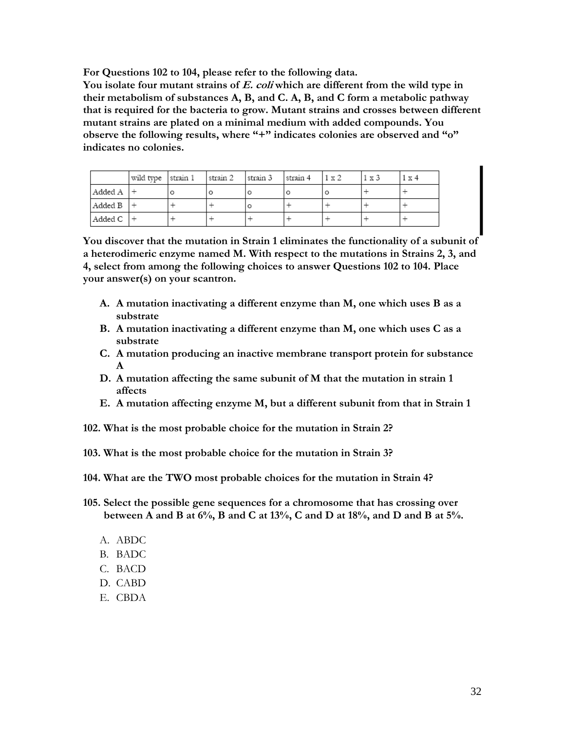**For Questions 102 to 104, please refer to the following data.**

**You isolate four mutant strains of E. coli which are different from the wild type in their metabolism of substances A, B, and C. A, B, and C form a metabolic pathway that is required for the bacteria to grow. Mutant strains and crosses between different mutant strains are plated on a minimal medium with added compounds. You observe the following results, where "+" indicates colonies are observed and "o" indicates no colonies.**

|         | wild type   strain 1 | strain 2 | strain 3 | strain 4 | $1 \times 2$ | 1 x 3 | . x 4 |
|---------|----------------------|----------|----------|----------|--------------|-------|-------|
| Added A |                      |          | o        | o        | O            |       |       |
| Added B |                      |          | $\circ$  |          |              |       |       |
| Added C |                      |          |          |          |              |       |       |

**You discover that the mutation in Strain 1 eliminates the functionality of a subunit of a heterodimeric enzyme named M. With respect to the mutations in Strains 2, 3, and 4, select from among the following choices to answer Questions 102 to 104. Place your answer(s) on your scantron.**

- **A. A mutation inactivating a different enzyme than M, one which uses B as a substrate**
- **B. A mutation inactivating a different enzyme than M, one which uses C as a substrate**
- **C. A mutation producing an inactive membrane transport protein for substance A**
- **D. A mutation affecting the same subunit of M that the mutation in strain 1 affects**
- **E. A mutation affecting enzyme M, but a different subunit from that in Strain 1**
- **102. What is the most probable choice for the mutation in Strain 2?**
- **103. What is the most probable choice for the mutation in Strain 3?**
- **104. What are the TWO most probable choices for the mutation in Strain 4?**
- **105. Select the possible gene sequences for a chromosome that has crossing over between A and B at 6%, B and C at 13%, C and D at 18%, and D and B at 5%.**
	- A. ABDC
	- B. BADC
	- C. BACD
	- D. CABD
	- E. CBDA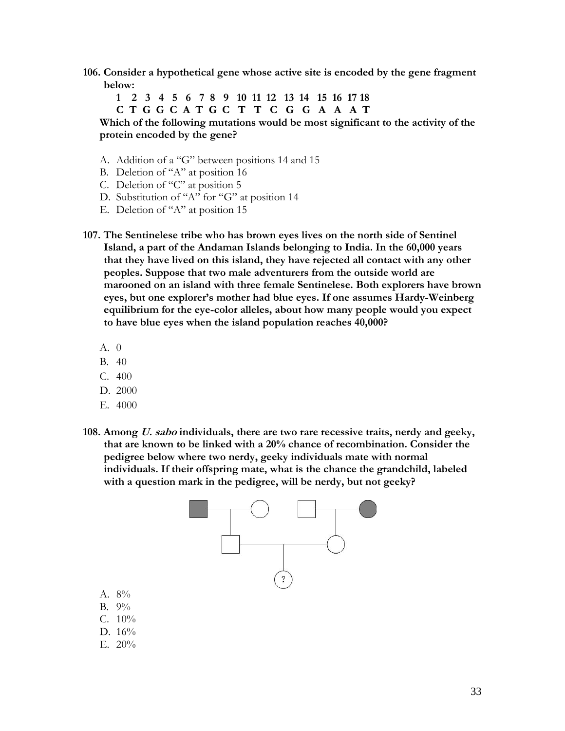**106. Consider a hypothetical gene whose active site is encoded by the gene fragment below:**

**1 2 3 4 5 6 7 8 9 10 11 12 13 14 15 16 17 18 C T G G C A T G C T T C G G A A A T**

**Which of the following mutations would be most significant to the activity of the protein encoded by the gene?**

- A. Addition of a "G" between positions 14 and 15
- B. Deletion of "A" at position 16
- C. Deletion of "C" at position 5
- D. Substitution of "A" for "G" at position 14
- E. Deletion of "A" at position 15
- **107. The Sentinelese tribe who has brown eyes lives on the north side of Sentinel Island, a part of the Andaman Islands belonging to India. In the 60,000 years that they have lived on this island, they have rejected all contact with any other peoples. Suppose that two male adventurers from the outside world are marooned on an island with three female Sentinelese. Both explorers have brown eyes, but one explorer's mother had blue eyes. If one assumes Hardy-Weinberg equilibrium for the eye-color alleles, about how many people would you expect to have blue eyes when the island population reaches 40,000?**
	- A. 0
	- B. 40
	- C. 400
	- D. 2000
	- E. 4000

A. 8% B. 9% C. 10% D. 16% E. 20%

**108. Among U. sabo individuals, there are two rare recessive traits, nerdy and geeky, that are known to be linked with a 20% chance of recombination. Consider the pedigree below where two nerdy, geeky individuals mate with normal individuals. If their offspring mate, what is the chance the grandchild, labeled with a question mark in the pedigree, will be nerdy, but not geeky?** 

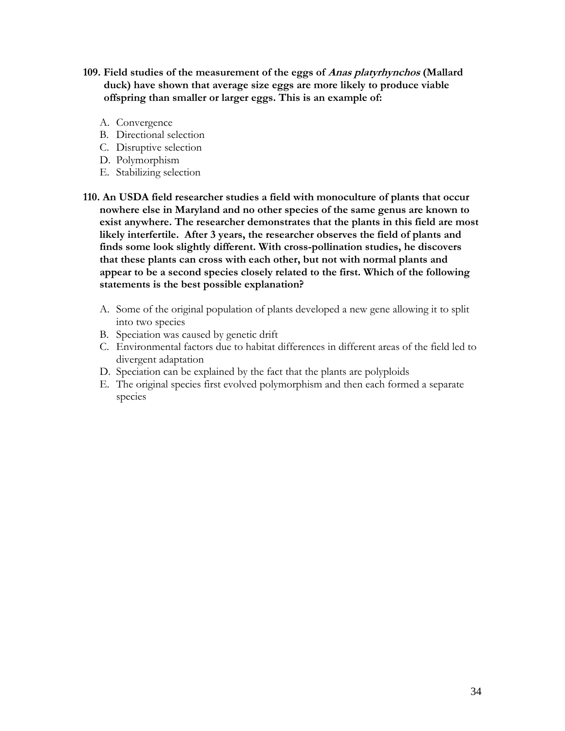- **109. Field studies of the measurement of the eggs of Anas platyrhynchos (Mallard duck) have shown that average size eggs are more likely to produce viable offspring than smaller or larger eggs. This is an example of:**
	- A. Convergence
	- B. Directional selection
	- C. Disruptive selection
	- D. Polymorphism
	- E. Stabilizing selection
- **110. An USDA field researcher studies a field with monoculture of plants that occur nowhere else in Maryland and no other species of the same genus are known to exist anywhere. The researcher demonstrates that the plants in this field are most likely interfertile. After 3 years, the researcher observes the field of plants and finds some look slightly different. With cross-pollination studies, he discovers that these plants can cross with each other, but not with normal plants and appear to be a second species closely related to the first. Which of the following statements is the best possible explanation?**
	- A. Some of the original population of plants developed a new gene allowing it to split into two species
	- B. Speciation was caused by genetic drift
	- C. Environmental factors due to habitat differences in different areas of the field led to divergent adaptation
	- D. Speciation can be explained by the fact that the plants are polyploids
	- E. The original species first evolved polymorphism and then each formed a separate species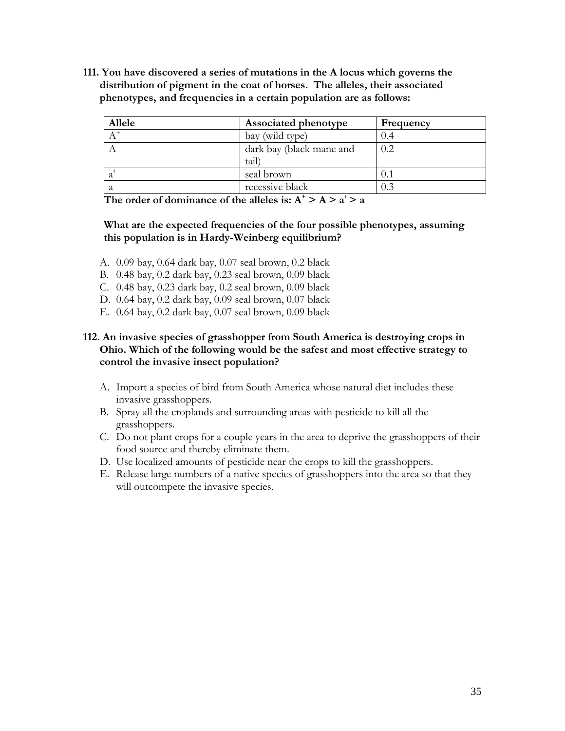**111. You have discovered a series of mutations in the A locus which governs the distribution of pigment in the coat of horses. The alleles, their associated phenotypes, and frequencies in a certain population are as follows:**

| Allele | Associated phenotype     | Frequency |
|--------|--------------------------|-----------|
|        | bay (wild type)          |           |
|        | dark bay (black mane and | 0.2       |
|        | tail                     |           |
|        | seal brown               |           |
|        | recessive black          |           |

The order of dominance of the alleles is:  $A^+ > A > a^t > a$ 

# **What are the expected frequencies of the four possible phenotypes, assuming this population is in Hardy-Weinberg equilibrium?**

- A. 0.09 bay, 0.64 dark bay, 0.07 seal brown, 0.2 black
- B. 0.48 bay, 0.2 dark bay, 0.23 seal brown, 0.09 black
- C. 0.48 bay, 0.23 dark bay, 0.2 seal brown, 0.09 black
- D. 0.64 bay, 0.2 dark bay, 0.09 seal brown, 0.07 black
- E. 0.64 bay, 0.2 dark bay, 0.07 seal brown, 0.09 black

# **112. An invasive species of grasshopper from South America is destroying crops in Ohio. Which of the following would be the safest and most effective strategy to control the invasive insect population?**

- A. Import a species of bird from South America whose natural diet includes these invasive grasshoppers.
- B. Spray all the croplands and surrounding areas with pesticide to kill all the grasshoppers.
- C. Do not plant crops for a couple years in the area to deprive the grasshoppers of their food source and thereby eliminate them.
- D. Use localized amounts of pesticide near the crops to kill the grasshoppers.
- E. Release large numbers of a native species of grasshoppers into the area so that they will outcompete the invasive species.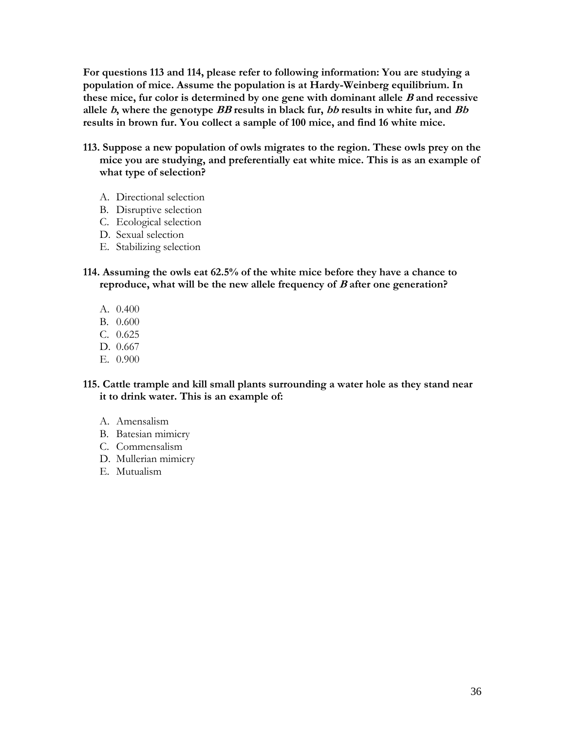**For questions 113 and 114, please refer to following information: You are studying a population of mice. Assume the population is at Hardy-Weinberg equilibrium. In these mice, fur color is determined by one gene with dominant allele <sup>B</sup> and recessive allele b, where the genotype BB results in black fur, bb results in white fur, and Bb results in brown fur. You collect a sample of 100 mice, and find 16 white mice.** 

- **113. Suppose a new population of owls migrates to the region. These owls prey on the mice you are studying, and preferentially eat white mice. This is as an example of what type of selection?**
	- A. Directional selection
	- B. Disruptive selection
	- C. Ecological selection
	- D. Sexual selection
	- E. Stabilizing selection
- **114. Assuming the owls eat 62.5% of the white mice before they have a chance to reproduce, what will be the new allele frequency of <sup>B</sup> after one generation?**
	- A. 0.400
	- B. 0.600
	- C. 0.625
	- D. 0.667
	- E. 0.900

**115. Cattle trample and kill small plants surrounding a water hole as they stand near it to drink water. This is an example of:**

- A. Amensalism
- B. Batesian mimicry
- C. Commensalism
- D. Mullerian mimicry
- E. Mutualism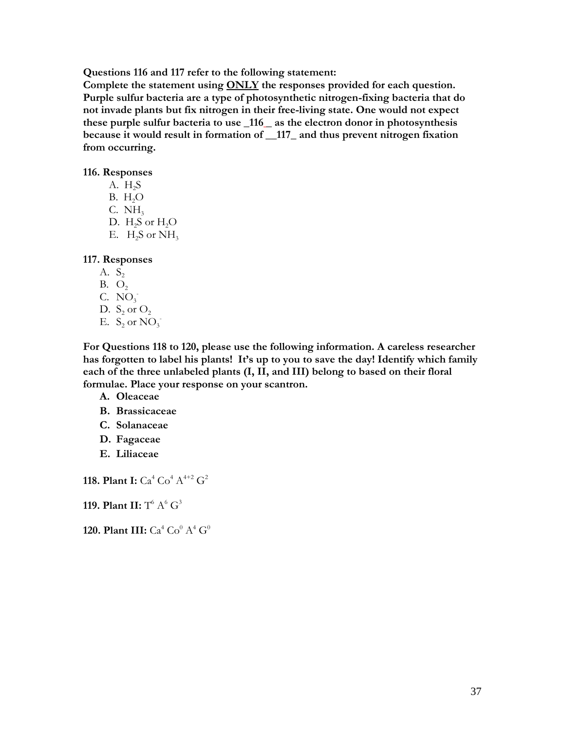**Questions 116 and 117 refer to the following statement:**

**Complete the statement using ONLY the responses provided for each question. Purple sulfur bacteria are a type of photosynthetic nitrogen-fixing bacteria that do not invade plants but fix nitrogen in their free-living state. One would not expect these purple sulfur bacteria to use \_116 \_ as the electron donor in photosynthesis because it would result in formation of \_\_117\_ and thus prevent nitrogen fixation from occurring.** 

#### **116. Responses**

A.  $H<sub>2</sub>S$  $B. H<sub>2</sub>O$ C.  $NH<sub>3</sub>$ D.  $H_2S$  or  $H_2O$ E.  $H_2S$  or  $NH_3$ 

#### **117. Responses**

- A.  $S_2$
- $B. O<sub>2</sub>$
- C.  $NO_3$
- D.  $S_2$  or  $O_2$
- E.  $S_2$  or  $NO_3^-$

**For Questions 118 to 120, please use the following information. A careless researcher has forgotten to label his plants! It's up to you to save the day! Identify which family each of the three unlabeled plants (I, II, and III) belong to based on their floral formulae. Place your response on your scantron.**

- **A. Oleaceae**
- **B. Brassicaceae**
- **C. Solanaceae**
- **D. Fagaceae**
- **E. Liliaceae**

**118. Plant I:**  $Ca^4 Co^4 A^{4+2} G^2$ 

# **119. Plant II:** T<sup>6</sup> A<sup>6</sup> G<sup>3</sup>

**120. Plant III:**  $Ca^4 Co^0 A^4 G^0$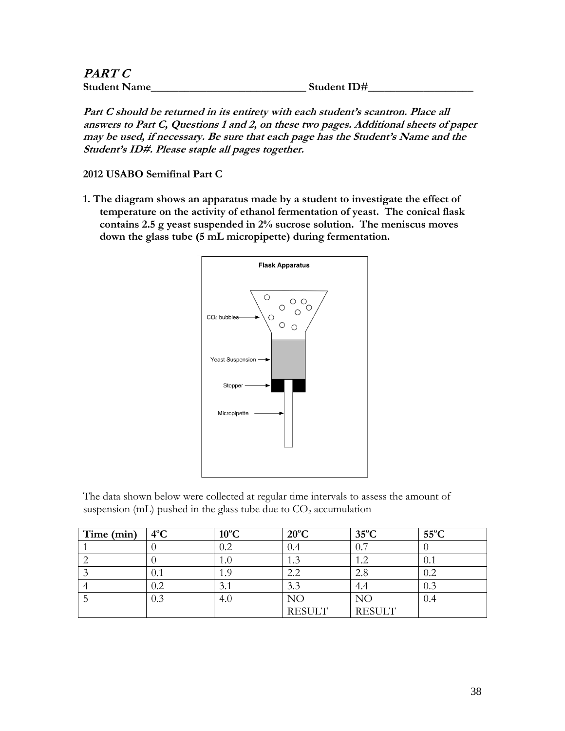| <i>PART C</i>       |             |
|---------------------|-------------|
| <b>Student Name</b> | Student ID# |

**Part C should be returned in its entirety with each student's scantron. Place all answers to Part C, Questions 1 and 2, on these two pages. Additional sheets of paper may be used, if necessary. Be sure that each page has the Student's Name and the Student's ID#. Please staple all pages together.**

**2012 USABO Semifinal Part C**

**1. The diagram shows an apparatus made by a student to investigate the effect of temperature on the activity of ethanol fermentation of yeast. The conical flask contains 2.5 g yeast suspended in 2% sucrose solution. The meniscus moves down the glass tube (5 mL micropipette) during fermentation.**



The data shown below were collected at regular time intervals to assess the amount of suspension (mL) pushed in the glass tube due to  $CO<sub>2</sub>$  accumulation

| Time (min) | $4^{\circ}$ C | $10^{\circ}$ C | $20^{\circ}$ C | $35^{\circ}$ C | $55^{\circ}$ C |
|------------|---------------|----------------|----------------|----------------|----------------|
|            |               |                |                | 0.7            |                |
|            |               | 1.0            |                | 1.2            | 0.1            |
|            | U.I           |                | 2.2            | 2.8            | 0.2            |
|            | $0.2\,$       | 3.1            | 3.3            | 4.4            | 0.3            |
|            | 0.3           | 4.0            | NO             | NΟ             | 0.4            |
|            |               |                | <b>RESULT</b>  | <b>RESULT</b>  |                |